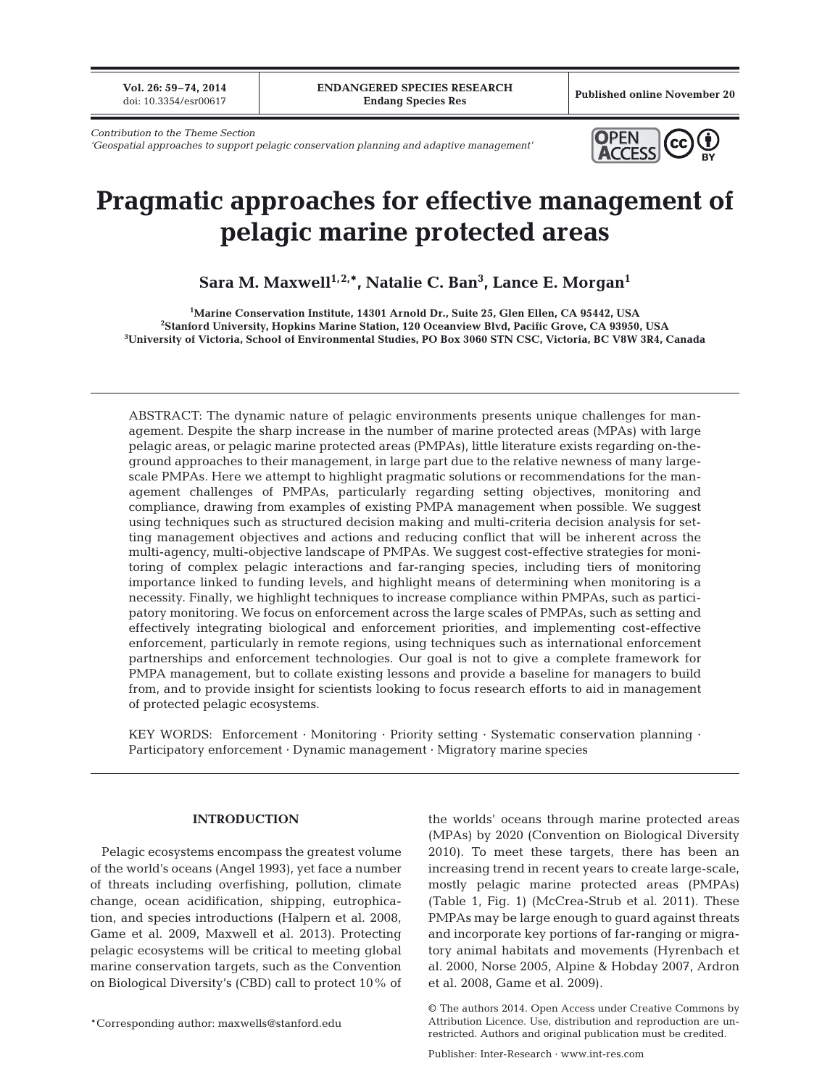**Vol. 26: 59–74, 2014**<br>doi: 10.3354/esr00617

Published online November 20

*Contribution to the Theme Section* 

'Geospatial approaches to support pelagic conservation planning and adaptive management'



# **Pragmatic approaches for effective management of pelagic marine protected areas**

**Sara M. Maxwell1,2,\*, Natalie C. Ban3 , Lance E. Morgan1**

**1 Marine Conservation Institute, 14301 Arnold Dr., Suite 25, Glen Ellen, CA 95442, USA 2 Stanford University, Hopkins Marine Station, 120 Oceanview Blvd, Pacific Grove, CA 93950, USA 3 University of Victoria, School of Environmental Studies, PO Box 3060 STN CSC, Victoria, BC V8W 3R4, Canada**

ABSTRACT: The dynamic nature of pelagic environments presents unique challenges for management. Despite the sharp increase in the number of marine protected areas (MPAs) with large pelagic areas, or pelagic marine protected areas (PMPAs), little literature exists regarding on-theground approaches to their management, in large part due to the relative newness of many largescale PMPAs. Here we attempt to highlight pragmatic solutions or recommendations for the management challenges of PMPAs, particularly regarding setting objectives, monitoring and compliance, drawing from examples of existing PMPA management when possible. We suggest using techniques such as structured decision making and multi-criteria decision analysis for setting management objectives and actions and reducing conflict that will be inherent across the multi-agency, multi-objective landscape of PMPAs. We suggest cost-effective strategies for monitoring of complex pelagic interactions and far-ranging species, including tiers of monitoring importance linked to funding levels, and highlight means of determining when monitoring is a necessity. Finally, we highlight techniques to increase compliance within PMPAs, such as participatory monitoring. We focus on enforcement across the large scales of PMPAs, such as setting and effectively integrating biological and enforcement priorities, and implementing cost-effective enforcement, particularly in remote regions, using techniques such as international enforcement partnerships and enforcement technologies. Our goal is not to give a complete framework for PMPA management, but to collate existing lessons and provide a baseline for managers to build from, and to provide insight for scientists looking to focus research efforts to aid in management of protected pelagic ecosystems.

KEY WORDS: Enforcement · Monitoring · Priority setting · Systematic conservation planning · Participatory enforcement · Dynamic management · Migratory marine species

### **INTRODUCTION**

Pelagic ecosystems encompass the greatest volume of the world's oceans (Angel 1993), yet face a number of threats including overfishing, pollution, climate change, ocean acidification, shipping, eutrophication, and species introductions (Halpern et al. 2008, Game et al. 2009, Maxwell et al. 2013). Protecting pelagic ecosystems will be critical to meeting global marine conservation targets, such as the Convention on Biological Diversity's (CBD) call to protect 10% of

the worlds' oceans through marine protected areas (MPAs) by 2020 (Convention on Biological Diversity 2010). To meet these targets, there has been an increasing trend in recent years to create large-scale, mostly pelagic marine protected areas (PMPAs) (Table 1, Fig. 1) (McCrea-Strub et al. 2011). These PMPAs may be large enough to guard against threats and incorporate key portions of far-ranging or migratory animal habitats and movements (Hyrenbach et al. 2000, Norse 2005, Alpine & Hobday 2007, Ardron et al. 2008, Game et al. 2009).

<sup>\*</sup>Corresponding author: maxwells@stanford.edu

<sup>©</sup> The authors 2014. Open Access under Creative Commons by Attribution Licence. Use, distribution and reproduction are unrestricted. Authors and original publication must be credited.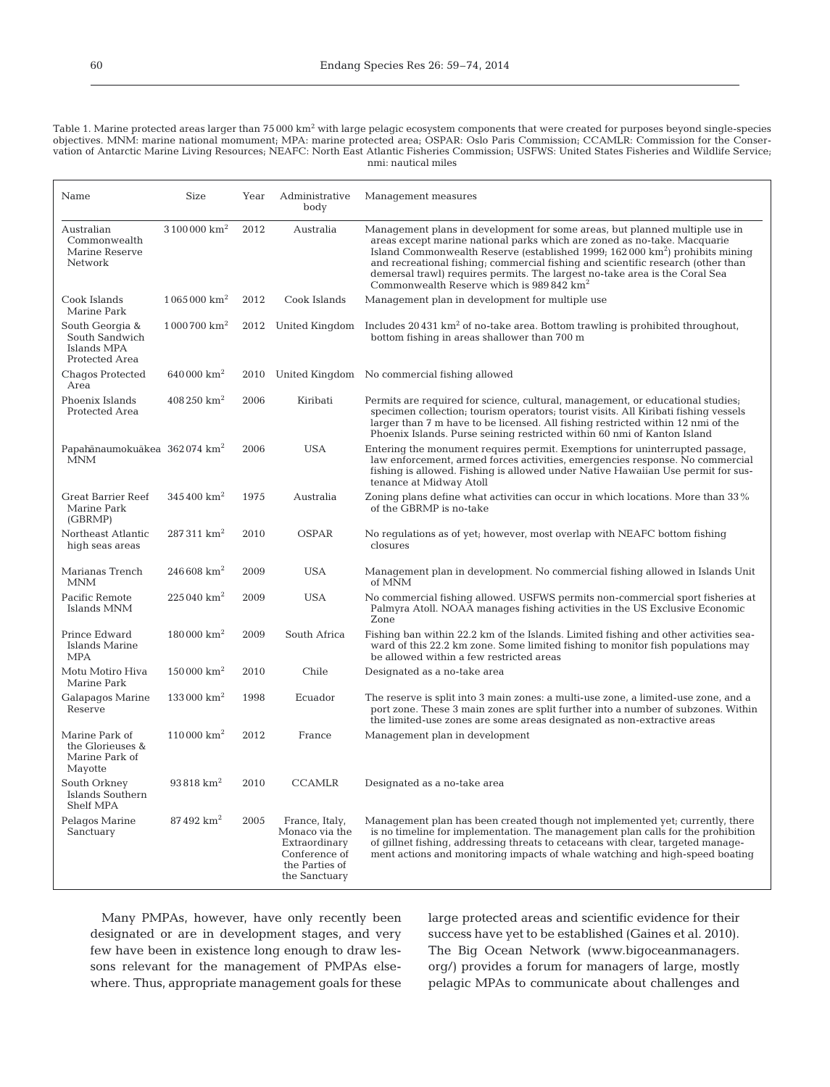Table 1. Marine protected areas larger than 75 000 km<sup>2</sup> with large pelagic ecosystem components that were created for purposes beyond single-species objectives. MNM: marine national momument; MPA: marine protected area; OSPAR: Oslo Paris Commission; CCAMLR: Commission for the Conser vation of Antarctic Marine Living Resources; NEAFC: North East Atlantic Fisheries Commission; USFWS: United States Fisheries and Wildlife Service; nmi: nautical miles

| Name                                                               | Size                        | Year | Administrative<br>body                                                                                | Management measures                                                                                                                                                                                                                                                                                                                                                                                                                                                            |
|--------------------------------------------------------------------|-----------------------------|------|-------------------------------------------------------------------------------------------------------|--------------------------------------------------------------------------------------------------------------------------------------------------------------------------------------------------------------------------------------------------------------------------------------------------------------------------------------------------------------------------------------------------------------------------------------------------------------------------------|
| Australian<br>Commonwealth<br>Marine Reserve<br>Network            | $3\,100\,000~\mathrm{km^2}$ | 2012 | Australia                                                                                             | Management plans in development for some areas, but planned multiple use in<br>areas except marine national parks which are zoned as no-take. Macquarie<br>Island Commonwealth Reserve (established $1999; 162000 \text{ km}^2$ ) prohibits mining<br>and recreational fishing; commercial fishing and scientific research (other than<br>demersal trawl) requires permits. The largest no-take area is the Coral Sea<br>Commonwealth Reserve which is 989 842 km <sup>2</sup> |
| Cook Islands<br>Marine Park                                        | $1065000 \text{ km}^2$      | 2012 | Cook Islands                                                                                          | Management plan in development for multiple use                                                                                                                                                                                                                                                                                                                                                                                                                                |
| South Georgia &<br>South Sandwich<br>Islands MPA<br>Protected Area | $1000700 \text{ km}^2$      | 2012 | United Kingdom                                                                                        | Includes $20431 \text{ km}^2$ of no-take area. Bottom trawling is prohibited throughout,<br>bottom fishing in areas shallower than 700 m                                                                                                                                                                                                                                                                                                                                       |
| Chagos Protected<br>Area                                           | 640 000 $km^2$              | 2010 |                                                                                                       | United Kingdom No commercial fishing allowed                                                                                                                                                                                                                                                                                                                                                                                                                                   |
| Phoenix Islands<br>Protected Area                                  | $408250 \text{ km}^2$       | 2006 | Kiribati                                                                                              | Permits are required for science, cultural, management, or educational studies;<br>specimen collection; tourism operators; tourist visits. All Kiribati fishing vessels<br>larger than 7 m have to be licensed. All fishing restricted within 12 nmi of the<br>Phoenix Islands. Purse seining restricted within 60 nmi of Kanton Island                                                                                                                                        |
| Papahānaumokuākea 362074 km <sup>2</sup><br><b>MNM</b>             |                             | 2006 | <b>USA</b>                                                                                            | Entering the monument requires permit. Exemptions for uninterrupted passage,<br>law enforcement, armed forces activities, emergencies response. No commercial<br>fishing is allowed. Fishing is allowed under Native Hawaiian Use permit for sus-<br>tenance at Midway Atoll                                                                                                                                                                                                   |
| <b>Great Barrier Reef</b><br>Marine Park<br>(GBRMP)                | $345400 \text{ km}^2$       | 1975 | Australia                                                                                             | Zoning plans define what activities can occur in which locations. More than 33%<br>of the GBRMP is no-take                                                                                                                                                                                                                                                                                                                                                                     |
| Northeast Atlantic<br>high seas areas                              | $287311 \text{ km}^2$       | 2010 | <b>OSPAR</b>                                                                                          | No regulations as of yet; however, most overlap with NEAFC bottom fishing<br>closures                                                                                                                                                                                                                                                                                                                                                                                          |
| Marianas Trench<br><b>MNM</b>                                      | $246608$ km <sup>2</sup>    | 2009 | <b>USA</b>                                                                                            | Management plan in development. No commercial fishing allowed in Islands Unit<br>of MNM                                                                                                                                                                                                                                                                                                                                                                                        |
| Pacific Remote<br>Islands MNM                                      | $225040 \text{ km}^2$       | 2009 | <b>USA</b>                                                                                            | No commercial fishing allowed. USFWS permits non-commercial sport fisheries at<br>Palmyra Atoll. NOAA manages fishing activities in the US Exclusive Economic<br>Zone                                                                                                                                                                                                                                                                                                          |
| Prince Edward<br>Islands Marine<br><b>MPA</b>                      | $180000 \text{ km}^2$       | 2009 | South Africa                                                                                          | Fishing ban within 22.2 km of the Islands. Limited fishing and other activities sea-<br>ward of this 22.2 km zone. Some limited fishing to monitor fish populations may<br>be allowed within a few restricted areas                                                                                                                                                                                                                                                            |
| Motu Motiro Hiva<br>Marine Park                                    | $150000 \text{ km}^2$       | 2010 | Chile                                                                                                 | Designated as a no-take area                                                                                                                                                                                                                                                                                                                                                                                                                                                   |
| Galapagos Marine<br>Reserve                                        | $133000 \text{ km}^2$       | 1998 | Ecuador                                                                                               | The reserve is split into 3 main zones: a multi-use zone, a limited-use zone, and a<br>port zone. These 3 main zones are split further into a number of subzones. Within<br>the limited-use zones are some areas designated as non-extractive areas                                                                                                                                                                                                                            |
| Marine Park of<br>the Glorieuses &<br>Marine Park of<br>Mayotte    | $110000 \text{ km}^2$       | 2012 | France                                                                                                | Management plan in development                                                                                                                                                                                                                                                                                                                                                                                                                                                 |
| South Orkney<br>Islands Southern<br><b>Shelf MPA</b>               | $93818 \text{ km}^2$        | 2010 | <b>CCAMLR</b>                                                                                         | Designated as a no-take area                                                                                                                                                                                                                                                                                                                                                                                                                                                   |
| Pelagos Marine<br>Sanctuary                                        | 87492 km <sup>2</sup>       | 2005 | France, Italy,<br>Monaco via the<br>Extraordinary<br>Conference of<br>the Parties of<br>the Sanctuary | Management plan has been created though not implemented yet, currently, there<br>is no timeline for implementation. The management plan calls for the prohibition<br>of gillnet fishing, addressing threats to cetaceans with clear, targeted manage-<br>ment actions and monitoring impacts of whale watching and high-speed boating                                                                                                                                          |

Many PMPAs, however, have only recently been designated or are in development stages, and very few have been in existence long enough to draw lessons relevant for the management of PMPAs elsewhere. Thus, appropriate management goals for these large protected areas and scientific evidence for their success have yet to be established (Gaines et al. 2010). The Big Ocean Network (www.bigoceanmanagers. org/) provides a forum for managers of large, mostly pelagic MPAs to communicate about challenges and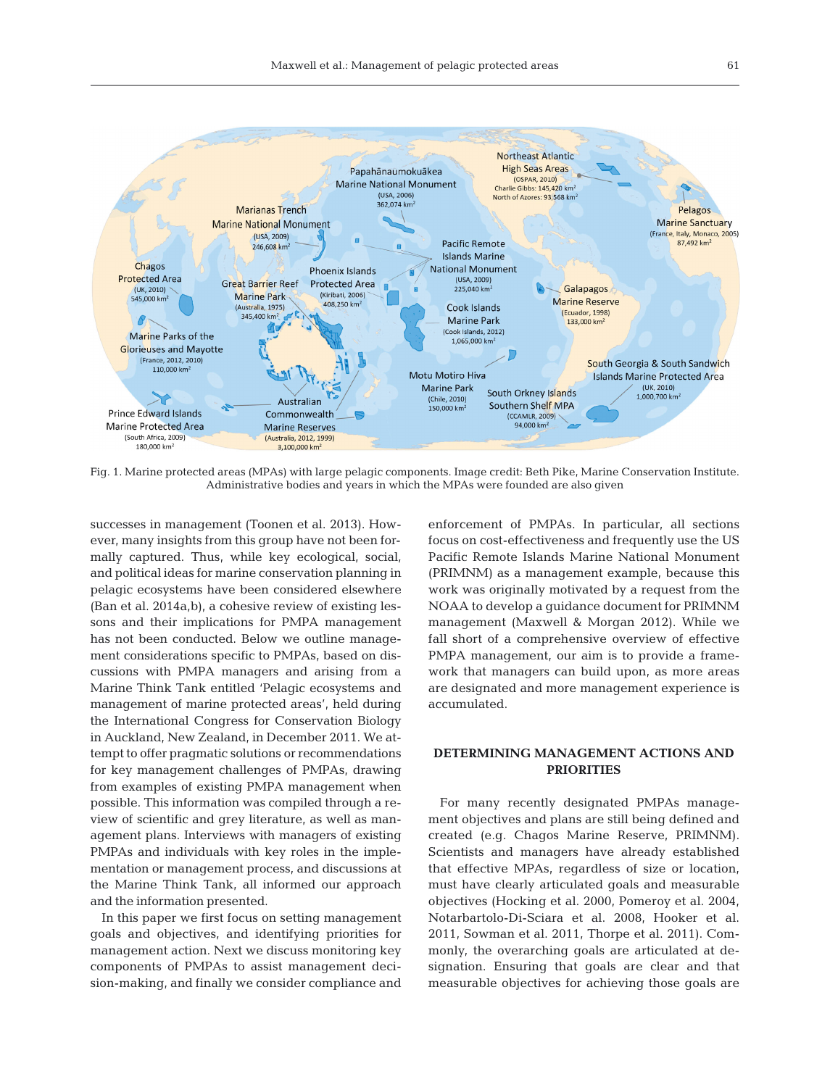

Fig. 1. Marine protected areas (MPAs) with large pelagic components. Image credit: Beth Pike, Marine Conservation Institute. Administrative bodies and years in which the MPAs were founded are also given

successes in management (Toonen et al. 2013). However, many insights from this group have not been formally captured. Thus, while key ecological, social, and political ideas for marine conservation planning in pelagic ecosystems have been considered elsewhere (Ban et al. 2014a,b), a cohesive review of existing lessons and their implications for PMPA management has not been conducted. Below we outline management considerations specific to PMPAs, based on discussions with PMPA managers and arising from a Marine Think Tank entitled 'Pelagic ecosystems and management of marine protected areas', held during the International Congress for Conservation Biology in Auckland, New Zealand, in December 2011. We attempt to offer pragmatic solutions or recommendations for key management challenges of PMPAs, drawing from examples of existing PMPA management when possible. This information was compiled through a review of scientific and grey literature, as well as management plans. Interviews with managers of existing PMPAs and individuals with key roles in the implementation or management process, and discussions at the Marine Think Tank, all informed our approach and the information presented.

In this paper we first focus on setting management goals and objectives, and identifying priorities for management action. Next we discuss monitoring key components of PMPAs to assist management decision-making, and finally we consider compliance and enforcement of PMPAs. In particular, all sections focus on cost-effectiveness and frequently use the US Pacific Remote Islands Marine National Monument (PRIMNM) as a management example, because this work was originally motivated by a request from the NOAA to develop a guidance document for PRIMNM management (Maxwell & Morgan 2012). While we fall short of a comprehensive overview of effective PMPA management, our aim is to provide a framework that managers can build upon, as more areas are designated and more management experience is accumulated.

# **DETERMINING MANAGEMENT ACTIONS AND PRIORITIES**

For many recently designated PMPAs management objectives and plans are still being defined and created (e.g. Chagos Marine Reserve, PRIMNM). Scientists and managers have already established that effective MPAs, regardless of size or location, must have clearly articulated goals and measurable objectives (Hocking et al. 2000, Pomeroy et al. 2004, Notarbartolo-Di-Sciara et al. 2008, Hooker et al. 2011, Sowman et al. 2011, Thorpe et al. 2011). Commonly, the overarching goals are articulated at designation. Ensuring that goals are clear and that measurable objectives for achieving those goals are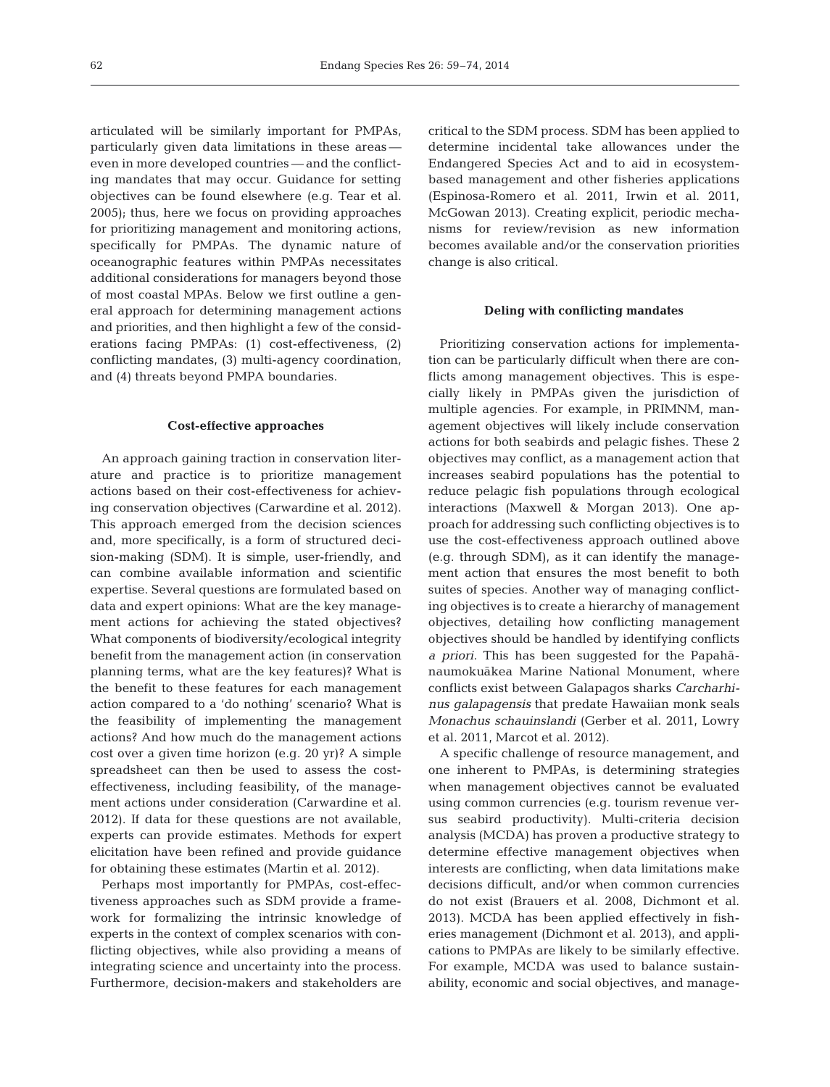articulated will be similarly important for PMPAs, particularly given data limitations in these areas even in more developed countries — and the conflicting mandates that may occur. Guidance for setting objectives can be found elsewhere (e.g. Tear et al. 2005); thus, here we focus on providing approaches for prioritizing management and monitoring actions, specifically for PMPAs. The dynamic nature of oceanographic features within PMPAs necessitates additional considerations for managers beyond those of most coastal MPAs. Below we first outline a general approach for determining management actions and priorities, and then highlight a few of the considerations facing PMPAs: (1) cost-effectiveness, (2) conflicting mandates, (3) multi-agency coordination, and (4) threats beyond PMPA boundaries.

### **Cost-effective approaches**

An approach gaining traction in conservation literature and practice is to prioritize management actions based on their cost-effectiveness for achieving conservation objectives (Carwardine et al. 2012). This approach emerged from the decision sciences and, more specifically, is a form of structured decision-making (SDM). It is simple, user-friendly, and can combine available information and scientific expertise. Several questions are formulated based on data and expert opinions: What are the key management actions for achieving the stated objectives? What components of biodiversity/ecological integrity benefit from the management action (in conservation planning terms, what are the key features)? What is the benefit to these features for each management action compared to a 'do nothing' scenario? What is the feasibility of implementing the management actions? And how much do the management actions cost over a given time horizon (e.g. 20 yr)? A simple spreadsheet can then be used to assess the costeffectiveness, including feasibility, of the management actions under consideration (Carwardine et al. 2012). If data for these questions are not available, experts can provide estimates. Methods for expert elicitation have been refined and provide guidance for obtaining these estimates (Martin et al. 2012).

Perhaps most importantly for PMPAs, cost-effectiveness approaches such as SDM provide a framework for formalizing the intrinsic knowledge of experts in the context of complex scenarios with conflicting objectives, while also providing a means of integrating science and uncertainty into the process. Furthermore, decision-makers and stakeholders are

critical to the SDM process. SDM has been applied to determine incidental take allowances under the Endangered Species Act and to aid in ecosystembased management and other fisheries applications (Espinosa-Romero et al. 2011, Irwin et al. 2011, McGowan 2013). Creating explicit, periodic mechanisms for review/revision as new information becomes available and/or the conservation priorities change is also critical.

### **Deling with conflicting mandates**

Prioritizing conservation actions for implementation can be particularly difficult when there are conflicts among management objectives. This is especially likely in PMPAs given the jurisdiction of multiple agencies. For example, in PRIMNM, management objectives will likely include conservation actions for both seabirds and pelagic fishes. These 2 objectives may conflict, as a management action that increases seabird populations has the potential to reduce pelagic fish populations through ecological interactions (Maxwell & Morgan 2013). One approach for addressing such conflicting objectives is to use the cost-effectiveness approach outlined above (e.g. through SDM), as it can identify the management action that ensures the most benefit to both suites of species. Another way of managing conflicting objectives is to create a hierarchy of management objectives, detailing how conflicting management objectives should be handled by identifying conflicts *a priori.* This has been suggested for the Papahānaumokuākea Marine National Monument, where conflicts exist between Galapagos sharks *Carcharhinus galapagensis* that predate Hawaiian monk seals *Monachus schauinslandi* (Gerber et al. 2011, Lowry et al. 2011, Marcot et al. 2012).

A specific challenge of resource management, and one inherent to PMPAs, is determining strategies when management objectives cannot be evaluated using common currencies (e.g. tourism revenue versus seabird productivity). Multi-criteria decision analysis (MCDA) has proven a productive strategy to determine effective management objectives when interests are conflicting, when data limitations make decisions difficult, and/or when common currencies do not exist (Brauers et al. 2008, Dichmont et al. 2013). MCDA has been applied effectively in fisheries management (Dichmont et al. 2013), and applications to PMPAs are likely to be similarly effective. For example, MCDA was used to balance sustainability, economic and social objectives, and manage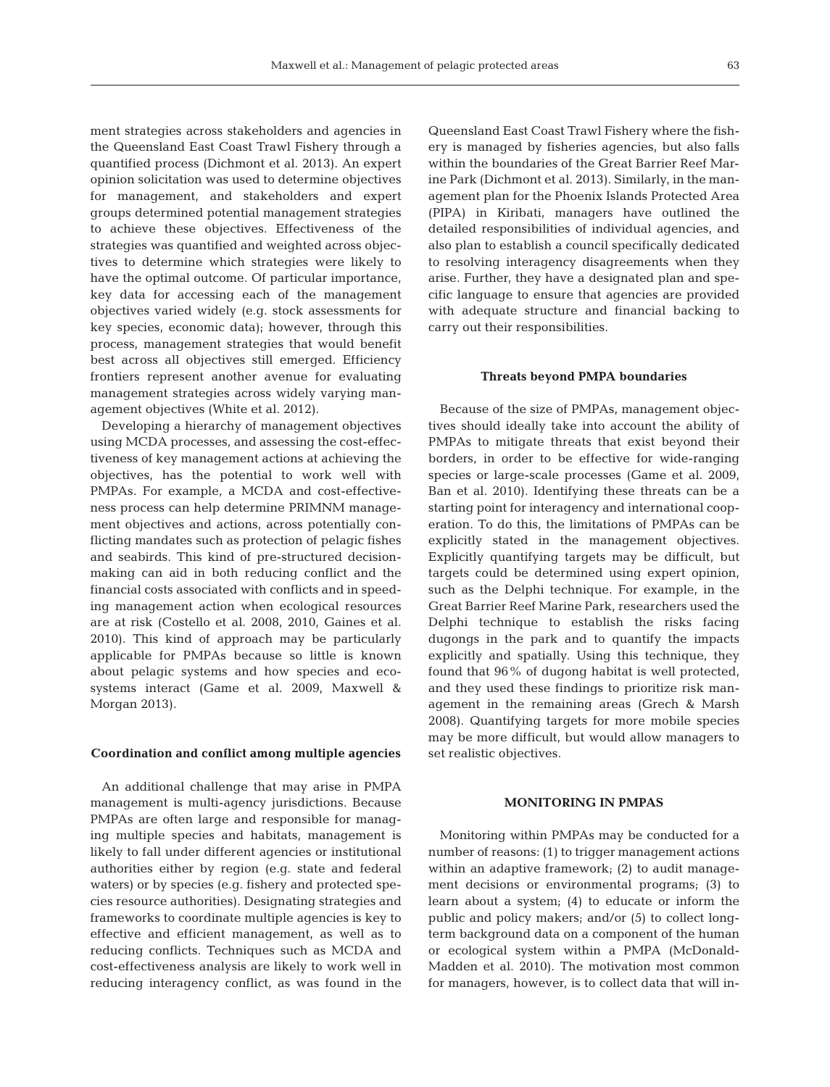ment strategies across stakeholders and agencies in the Queensland East Coast Trawl Fishery through a quantified process (Dichmont et al. 2013). An expert opinion solicitation was used to determine objectives for management, and stakeholders and expert groups determined potential management strategies to achieve these objectives. Effectiveness of the strategies was quantified and weighted across objectives to determine which strategies were likely to have the optimal outcome. Of particular importance, key data for accessing each of the management objectives varied widely (e.g. stock assessments for key species, economic data); however, through this process, management strategies that would benefit best across all objectives still emerged. Efficiency frontiers represent another avenue for evaluating management strategies across widely varying management objectives (White et al. 2012).

Developing a hierarchy of management objectives using MCDA processes, and assessing the cost-effectiveness of key management actions at achieving the objectives, has the potential to work well with PMPAs. For example, a MCDA and cost-effectiveness process can help determine PRIMNM management objectives and actions, across potentially conflicting mandates such as protection of pelagic fishes and seabirds. This kind of pre-structured decisionmaking can aid in both reducing conflict and the financial costs associated with conflicts and in speeding management action when ecological resources are at risk (Costello et al. 2008, 2010, Gaines et al. 2010). This kind of approach may be particularly applicable for PMPAs because so little is known about pelagic systems and how species and ecosystems interact (Game et al. 2009, Maxwell & Morgan 2013).

### **Coordination and conflict among multiple agencies**

An additional challenge that may arise in PMPA management is multi-agency jurisdictions. Because PMPAs are often large and responsible for managing multiple species and habitats, management is likely to fall under different agencies or institutional authorities either by region (e.g. state and federal waters) or by species (e.g. fishery and protected species resource authorities). Designating strategies and frameworks to coordinate multiple agencies is key to effective and efficient management, as well as to reducing conflicts. Techniques such as MCDA and cost- effectiveness analysis are likely to work well in reducing interagency conflict, as was found in the

Queensland East Coast Trawl Fishery where the fishery is managed by fisheries agencies, but also falls within the boundaries of the Great Barrier Reef Marine Park (Dichmont et al. 2013). Similarly, in the management plan for the Phoenix Islands Protected Area (PIPA) in Kiribati, managers have outlined the detailed responsibilities of individual agencies, and also plan to establish a council specifically dedicated to resolving interagency disagreements when they arise. Further, they have a designated plan and specific language to ensure that agencies are provided with adequate structure and financial backing to carry out their responsibilities.

### **Threats beyond PMPA boundaries**

Because of the size of PMPAs, management objectives should ideally take into account the ability of PMPAs to mitigate threats that exist beyond their borders, in order to be effective for wide-ranging species or large-scale processes (Game et al. 2009, Ban et al. 2010). Identifying these threats can be a starting point for interagency and international cooperation. To do this, the limitations of PMPAs can be explicitly stated in the management objectives. Explicitly quantifying targets may be difficult, but targets could be determined using expert opinion, such as the Delphi technique. For example, in the Great Barrier Reef Marine Park, researchers used the Delphi technique to establish the risks facing dugongs in the park and to quantify the impacts explicitly and spatially. Using this technique, they found that 96% of dugong habitat is well protected, and they used these findings to prioritize risk management in the remaining areas (Grech & Marsh 2008). Quantifying targets for more mobile species may be more difficult, but would allow managers to set realistic objectives.

## **MONITORING IN PMPAS**

Monitoring within PMPAs may be conducted for a number of reasons: (1) to trigger management actions within an adaptive framework; (2) to audit management decisions or environmental programs; (3) to learn about a system; (4) to educate or inform the public and policy makers; and/or (5) to collect longterm background data on a component of the human or ecological system within a PMPA (McDonald-Madden et al. 2010). The motivation most common for managers, however, is to collect data that will in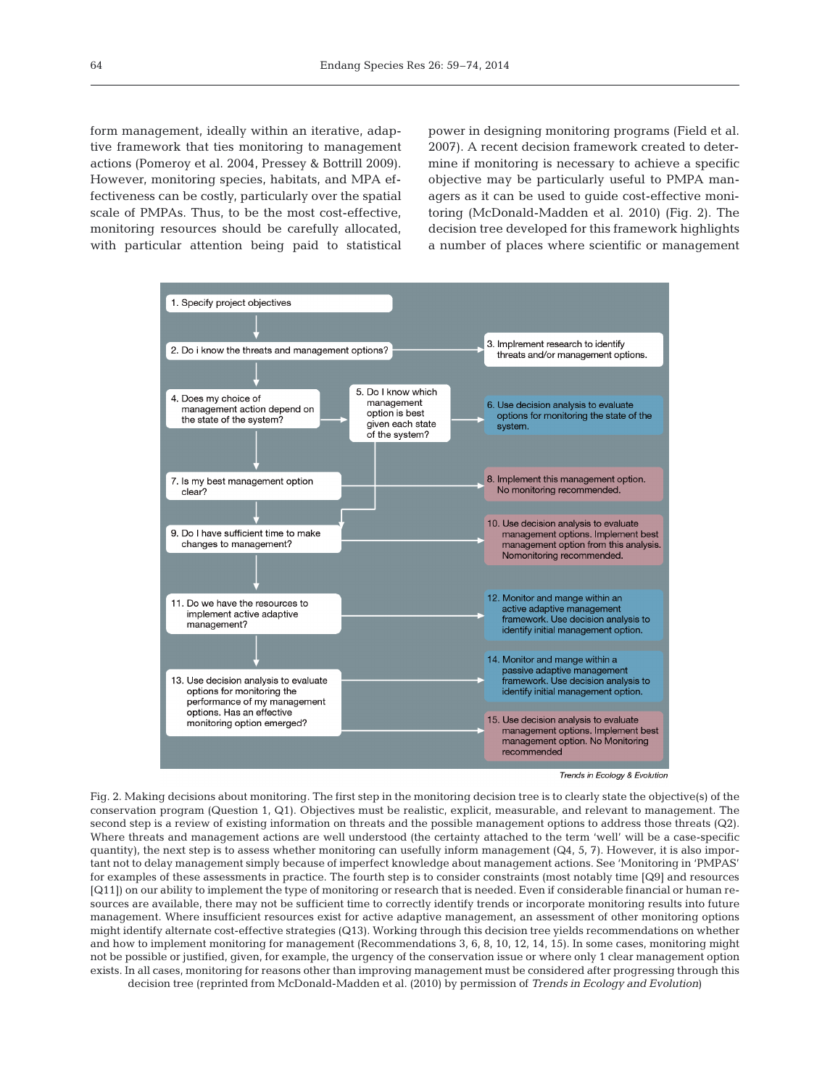form management, ideally within an iterative, adaptive framework that ties monitoring to management actions (Pomeroy et al. 2004, Pressey & Bottrill 2009). However, monitoring species, habitats, and MPA effectiveness can be costly, particularly over the spatial scale of PMPAs. Thus, to be the most cost-effective, monitoring resources should be carefully allocated, with particular attention being paid to statistical power in designing monitoring programs (Field et al. 2007). A recent decision framework created to determine if monitoring is necessary to achieve a specific objective may be particularly useful to PMPA managers as it can be used to guide cost-effective monitoring (McDonald-Madden et al. 2010) (Fig. 2). The decision tree developed for this framework highlights a number of places where scientific or management



Fig. 2. Making decisions about monitoring. The first step in the monitoring decision tree is to clearly state the objective(s) of the conservation program (Question 1, Q1). Objectives must be realistic, explicit, measurable, and relevant to management. The second step is a review of existing information on threats and the possible management options to address those threats (Q2). Where threats and management actions are well understood (the certainty attached to the term 'well' will be a case-specific quantity), the next step is to assess whether monitoring can usefully inform management  $(Q4, 5, 7)$ . However, it is also important not to delay management simply because of imperfect knowledge about management actions. See 'Monitoring in 'PMPAS' for examples of these assessments in practice. The fourth step is to consider constraints (most notably time [Q9] and resources [Q11]) on our ability to implement the type of monitoring or research that is needed. Even if considerable financial or human resources are available, there may not be sufficient time to correctly identify trends or incorporate monitoring results into future management. Where insufficient resources exist for active adaptive management, an assessment of other monitoring options might identify alternate cost-effective strategies (Q13). Working through this decision tree yields recommendations on whether and how to implement monitoring for management (Recommendations 3, 6, 8, 10, 12, 14, 15). In some cases, monitoring might not be possible or justified, given, for example, the urgency of the conservation issue or where only 1 clear management option exists. In all cases, monitoring for reasons other than improving management must be considered after progressing through this decision tree (reprinted from McDonald-Madden et al. (2010) by permission of *Trends in Ecology and Evolution*)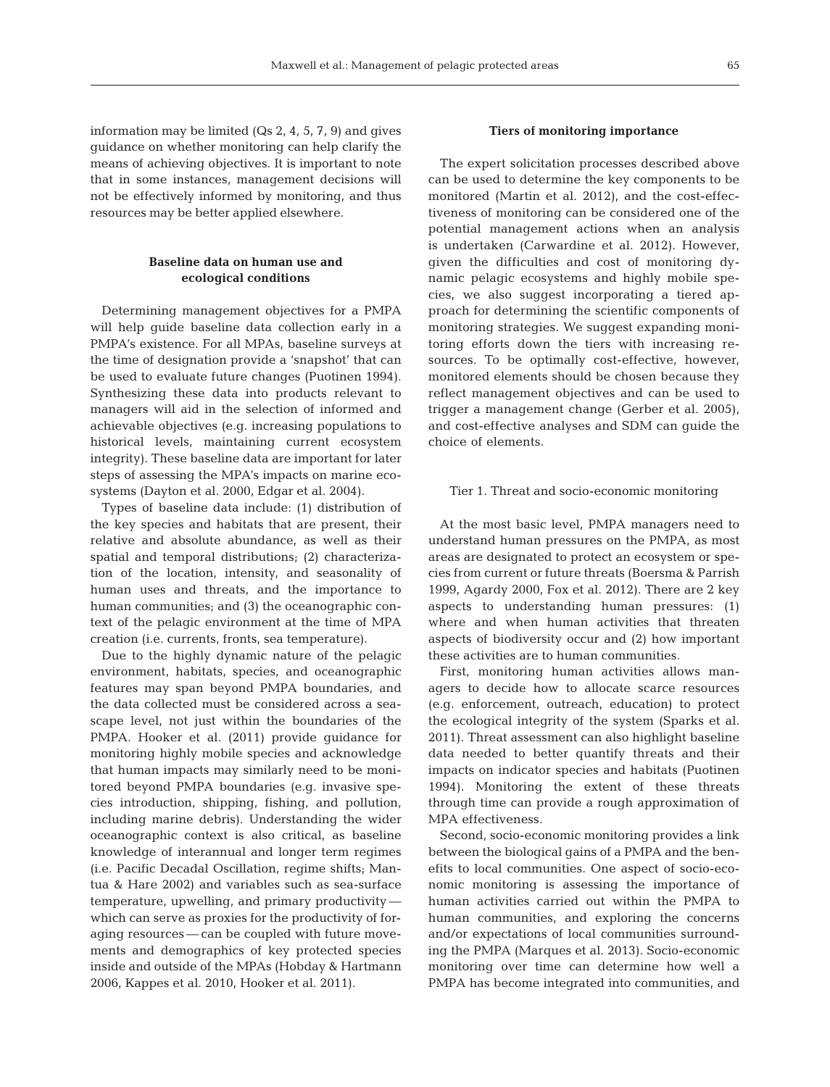information may be limited  $(Qs 2, 4, 5, 7, 9)$  and gives guidance on whether monitoring can help clarify the means of achieving objectives. It is important to note that in some instances, management decisions will not be effectively informed by monitoring, and thus resources may be better applied elsewhere.

# **Baseline data on human use and ecological conditions**

Determining management objectives for a PMPA will help guide baseline data collection early in a PMPA's existence. For all MPAs, baseline surveys at the time of designation provide a 'snapshot' that can be used to evaluate future changes (Puotinen 1994). Synthesizing these data into products relevant to managers will aid in the selection of informed and achievable objectives (e.g. increasing populations to historical levels, maintaining current ecosystem integrity). These baseline data are important for later steps of assessing the MPA's impacts on marine ecosystems (Dayton et al. 2000, Edgar et al. 2004).

Types of baseline data include: (1) distribution of the key species and habitats that are present, their relative and absolute abundance, as well as their spatial and temporal distributions; (2) characterization of the location, intensity, and seasonality of human uses and threats, and the importance to human communities; and (3) the oceanographic context of the pelagic environment at the time of MPA creation (i.e. currents, fronts, sea temperature).

Due to the highly dynamic nature of the pelagic environment, habitats, species, and oceanographic features may span beyond PMPA boundaries, and the data collected must be considered across a seascape level, not just within the boundaries of the PMPA. Hooker et al. (2011) provide guidance for monitoring highly mobile species and acknowledge that human impacts may similarly need to be monitored beyond PMPA boundaries (e.g. invasive species introduction, shipping, fishing, and pollution, including marine debris). Understanding the wider oceanographic context is also critical, as baseline knowledge of interannual and longer term regimes (i.e. Pacific Decadal Oscillation, regime shifts; Mantua & Hare 2002) and variables such as sea-surface temperature, upwelling, and primary productivity which can serve as proxies for the productivity of foraging resources — can be coupled with future movements and demographics of key protected species inside and outside of the MPAs (Hobday & Hartmann 2006, Kappes et al. 2010, Hooker et al. 2011).

## **Tiers of monitoring importance**

The expert solicitation processes described above can be used to determine the key components to be monitored (Martin et al. 2012), and the cost-effectiveness of monitoring can be considered one of the potential management actions when an analysis is undertaken (Carwardine et al. 2012). However, given the difficulties and cost of monitoring dynamic pelagic ecosystems and highly mobile species, we also suggest incorporating a tiered approach for determining the scientific components of monitoring strategies. We suggest expanding monitoring efforts down the tiers with increasing re sources. To be optimally cost-effective, however, monitored elements should be chosen because they reflect management objectives and can be used to trigger a management change (Gerber et al. 2005), and cost-effective analyses and SDM can guide the choice of elements.

### Tier 1. Threat and socio-economic monitoring

At the most basic level, PMPA managers need to understand human pressures on the PMPA, as most areas are designated to protect an ecosystem or species from current or future threats (Boersma & Parrish 1999, Agardy 2000, Fox et al. 2012). There are 2 key aspects to understanding human pressures: (1) where and when human activities that threaten aspects of biodiversity occur and (2) how important these activities are to human communities.

First, monitoring human activities allows managers to decide how to allocate scarce resources (e.g. enforcement, outreach, education) to protect the ecological integrity of the system (Sparks et al. 2011). Threat assessment can also highlight baseline data needed to better quantify threats and their impacts on indicator species and habitats (Puotinen 1994). Monitoring the extent of these threats through time can provide a rough approximation of MPA effectiveness.

Second, socio-economic monitoring provides a link between the biological gains of a PMPA and the benefits to local communities. One aspect of socio-economic monitoring is assessing the importance of human activities carried out within the PMPA to human communities, and exploring the concerns and/or expectations of local communities surrounding the PMPA (Marques et al. 2013). Socio-economic monitoring over time can determine how well a PMPA has become integrated into communities, and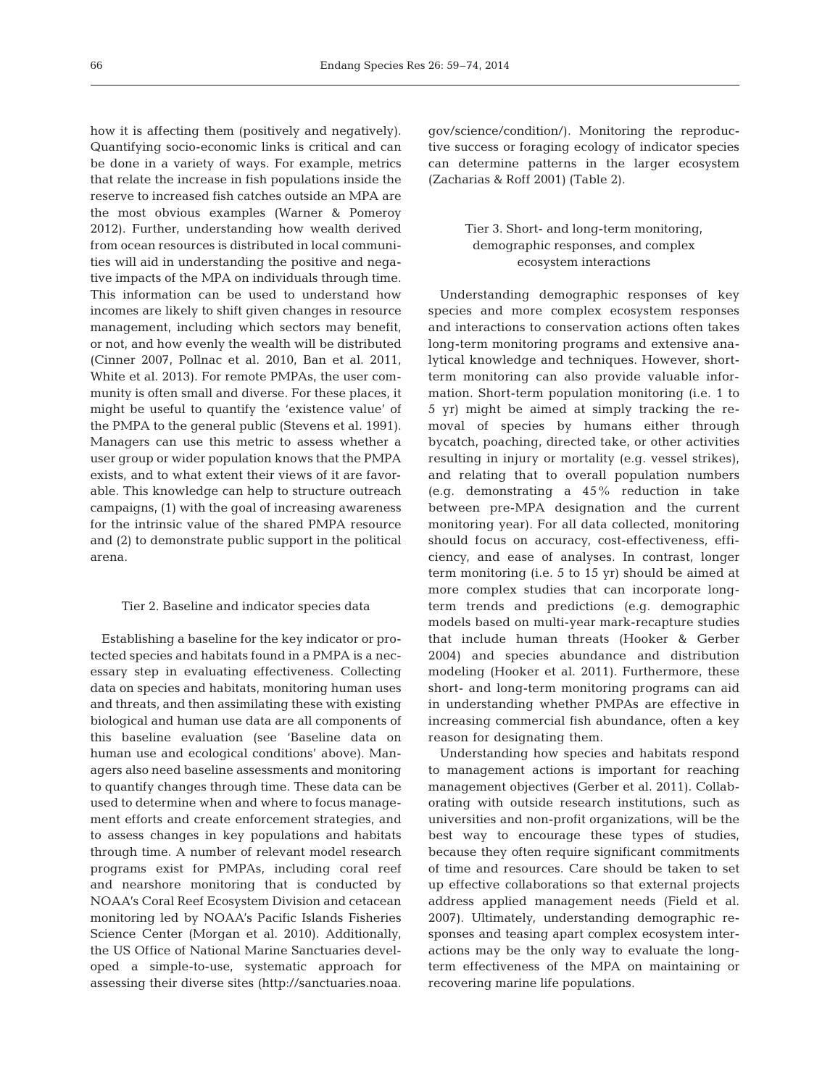how it is affecting them (positively and negatively). Quantifying socio-economic links is critical and can be done in a variety of ways. For example, metrics that relate the increase in fish populations inside the reserve to increased fish catches outside an MPA are the most obvious examples (Warner & Pomeroy 2012). Further, understanding how wealth derived from ocean resources is distributed in local communities will aid in understanding the positive and negative impacts of the MPA on individuals through time. This information can be used to understand how incomes are likely to shift given changes in resource management, including which sectors may benefit, or not, and how evenly the wealth will be distributed (Cinner 2007, Pollnac et al. 2010, Ban et al. 2011, White et al. 2013). For remote PMPAs, the user community is often small and diverse. For these places, it might be useful to quantify the 'existence value' of the PMPA to the general public (Stevens et al. 1991). Managers can use this metric to assess whether a user group or wider population knows that the PMPA exists, and to what extent their views of it are favorable. This knowledge can help to structure outreach campaigns, (1) with the goal of increasing awareness for the intrinsic value of the shared PMPA resource and (2) to demonstrate public support in the political arena.

#### Tier 2. Baseline and indicator species data

Establishing a baseline for the key indicator or protected species and habitats found in a PMPA is a necessary step in evaluating effectiveness. Collecting data on species and habitats, monitoring human uses and threats, and then assimilating these with existing biological and human use data are all components of this baseline evaluation (see 'Baseline data on human use and ecological conditions' above). Managers also need baseline assessments and monitoring to quantify changes through time. These data can be used to determine when and where to focus management efforts and create enforcement strategies, and to assess changes in key populations and habitats through time. A number of relevant model research programs exist for PMPAs, including coral reef and nearshore monitoring that is conducted by NOAA's Coral Reef Ecosystem Division and cetacean monitoring led by NOAA's Pacific Islands Fisheries Science Center (Morgan et al. 2010). Additionally, the US Office of National Marine Sanctuaries developed a simple-to-use, systematic approach for assessing their diverse sites (http:// sanctuaries. noaa.

gov/science/condition/). Monitoring the reproductive success or foraging ecology of indicator species can determine patterns in the larger ecosystem (Zacharias & Roff 2001) (Table 2).

# Tier 3. Short- and long-term monitoring, demographic responses, and complex ecosystem interactions

Understanding demographic responses of key species and more complex ecosystem responses and interactions to conservation actions often takes long-term monitoring programs and extensive analytical knowledge and techniques. However, shortterm monitoring can also provide valuable information. Short-term population monitoring (i.e. 1 to 5 yr) might be aimed at simply tracking the re moval of species by humans either through bycatch, poaching, directed take, or other activities resulting in injury or mortality (e.g. vessel strikes), and relating that to overall population numbers (e.g. demonstrating a 45% reduction in take between pre-MPA designation and the current monitoring year). For all data collected, monitoring should focus on accuracy, cost-effectiveness, efficiency, and ease of analyses. In contrast, longer term monitoring (i.e. 5 to 15 yr) should be aimed at more complex studies that can incorporate longterm trends and predictions (e.g. demographic models based on multi-year mark-recapture studies that include human threats (Hooker & Gerber 2004) and species abundance and distribution modeling (Hooker et al. 2011). Furthermore, these short- and long-term monitoring programs can aid in understanding whether PMPAs are effective in increasing commercial fish abundance, often a key reason for designating them.

Understanding how species and habitats respond to management actions is important for reaching management objectives (Gerber et al. 2011). Collaborating with outside research institutions, such as universities and non-profit organizations, will be the best way to encourage these types of studies, because they often require significant commitments of time and resources. Care should be taken to set up effective collaborations so that external projects address applied management needs (Field et al. 2007). Ultimately, understanding demographic responses and teasing apart complex ecosystem interactions may be the only way to evaluate the longterm effectiveness of the MPA on maintaining or recovering marine life populations.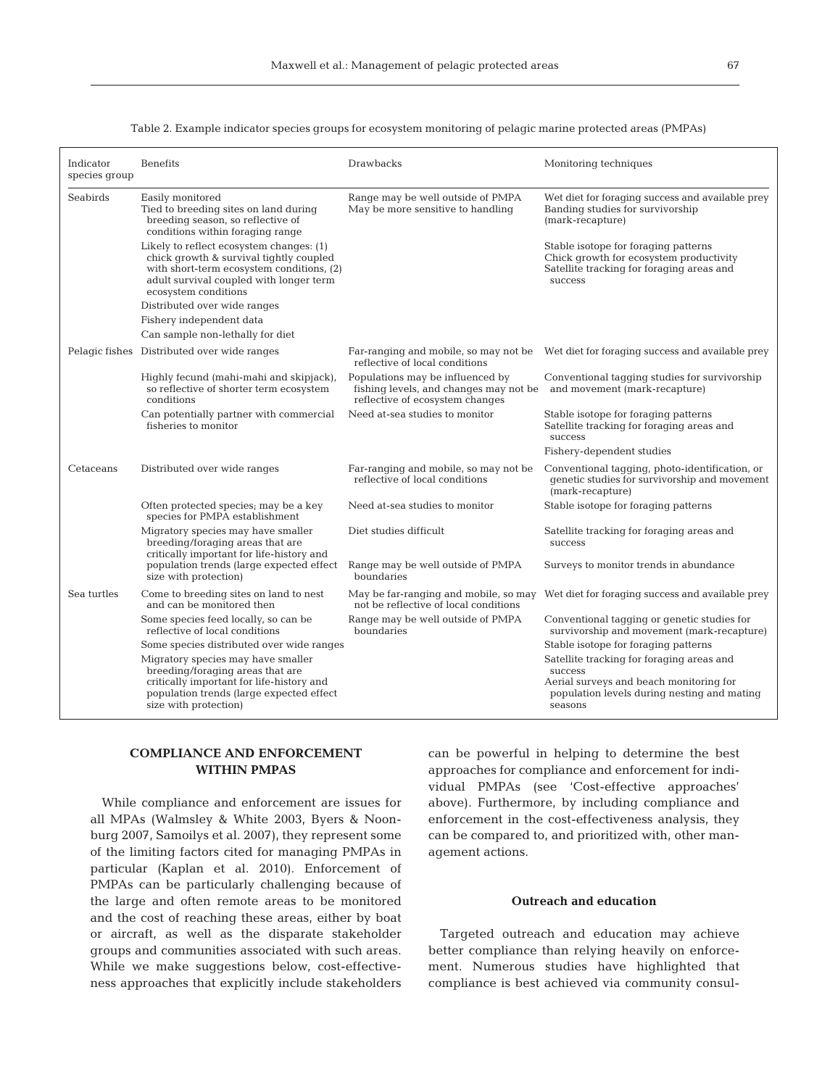| Indicator<br>species group | <b>Benefits</b>                                                                                                                                                                                     | Drawbacks                                                                                                                                   | Monitoring techniques                                                                                                                                     |  |
|----------------------------|-----------------------------------------------------------------------------------------------------------------------------------------------------------------------------------------------------|---------------------------------------------------------------------------------------------------------------------------------------------|-----------------------------------------------------------------------------------------------------------------------------------------------------------|--|
| Seabirds                   | Easily monitored<br>Tied to breeding sites on land during<br>breeding season, so reflective of<br>conditions within foraging range                                                                  | Range may be well outside of PMPA<br>May be more sensitive to handling                                                                      | Wet diet for foraging success and available prey<br>Banding studies for survivorship<br>(mark-recapture)                                                  |  |
|                            | Likely to reflect ecosystem changes: (1)<br>chick growth & survival tightly coupled<br>with short-term ecosystem conditions, (2)<br>adult survival coupled with longer term<br>ecosystem conditions |                                                                                                                                             | Stable isotope for foraging patterns<br>Chick growth for ecosystem productivity<br>Satellite tracking for foraging areas and<br>success                   |  |
|                            | Distributed over wide ranges                                                                                                                                                                        |                                                                                                                                             |                                                                                                                                                           |  |
|                            | Fishery independent data                                                                                                                                                                            |                                                                                                                                             |                                                                                                                                                           |  |
|                            | Can sample non-lethally for diet                                                                                                                                                                    |                                                                                                                                             |                                                                                                                                                           |  |
|                            | Pelagic fishes Distributed over wide ranges                                                                                                                                                         | reflective of local conditions                                                                                                              | Far-ranging and mobile, so may not be Wet diet for foraging success and available prey                                                                    |  |
|                            | Highly fecund (mahi-mahi and skipjack),<br>so reflective of shorter term ecosystem<br>conditions                                                                                                    | Populations may be influenced by<br>fishing levels, and changes may not be and movement (mark-recapture)<br>reflective of ecosystem changes | Conventional tagging studies for survivorship                                                                                                             |  |
|                            | Can potentially partner with commercial<br>fisheries to monitor                                                                                                                                     | Need at-sea studies to monitor                                                                                                              | Stable isotope for foraging patterns<br>Satellite tracking for foraging areas and<br>success                                                              |  |
|                            |                                                                                                                                                                                                     |                                                                                                                                             | Fishery-dependent studies                                                                                                                                 |  |
| Cetaceans                  | Distributed over wide ranges                                                                                                                                                                        | Far-ranging and mobile, so may not be<br>reflective of local conditions                                                                     | Conventional tagging, photo-identification, or<br>genetic studies for survivorship and movement<br>(mark-recapture)                                       |  |
|                            | Often protected species; may be a key<br>species for PMPA establishment                                                                                                                             | Need at-sea studies to monitor                                                                                                              | Stable isotope for foraging patterns                                                                                                                      |  |
|                            | Migratory species may have smaller<br>breeding/foraging areas that are<br>critically important for life-history and                                                                                 | Diet studies difficult                                                                                                                      | Satellite tracking for foraging areas and<br>success                                                                                                      |  |
|                            | population trends (large expected effect<br>size with protection)                                                                                                                                   | Range may be well outside of PMPA<br>boundaries                                                                                             | Surveys to monitor trends in abundance                                                                                                                    |  |
| Sea turtles                | Come to breeding sites on land to nest<br>and can be monitored then                                                                                                                                 | May be far-ranging and mobile, so may<br>not be reflective of local conditions                                                              | Wet diet for foraging success and available prey                                                                                                          |  |
|                            | Some species feed locally, so can be<br>reflective of local conditions                                                                                                                              | Range may be well outside of PMPA<br>boundaries                                                                                             | Conventional tagging or genetic studies for<br>survivorship and movement (mark-recapture)                                                                 |  |
|                            | Some species distributed over wide ranges                                                                                                                                                           |                                                                                                                                             | Stable isotope for foraging patterns                                                                                                                      |  |
|                            | Migratory species may have smaller<br>breeding/foraging areas that are<br>critically important for life-history and<br>population trends (large expected effect<br>size with protection)            |                                                                                                                                             | Satellite tracking for foraging areas and<br>success<br>Aerial surveys and beach monitoring for<br>population levels during nesting and mating<br>seasons |  |

Table 2. Example indicator species groups for ecosystem monitoring of pelagic marine protected areas (PMPAs)

# **COMPLIANCE AND ENFORCEMENT WITHIN PMPAS**

While compliance and enforcement are issues for all MPAs (Walmsley & White 2003, Byers & Noonburg 2007, Samoilys et al. 2007), they represent some of the limiting factors cited for managing PMPAs in particular (Kaplan et al. 2010). Enforcement of PMPAs can be particularly challenging because of the large and often remote areas to be monitored and the cost of reaching these areas, either by boat or aircraft, as well as the disparate stakeholder groups and communities associated with such areas. While we make suggestions below, cost-effectiveness approaches that explicitly include stakeholders

can be powerful in helping to determine the best approaches for compliance and enforcement for individual PMPAs (see 'Cost-effective approaches' above). Furthermore, by including compliance and enforcement in the cost-effectiveness analysis, they can be compared to, and prioritized with, other management actions.

# **Outreach and education**

Targeted outreach and education may achieve better compliance than relying heavily on enforcement. Numerous studies have highlighted that compliance is best achieved via community consul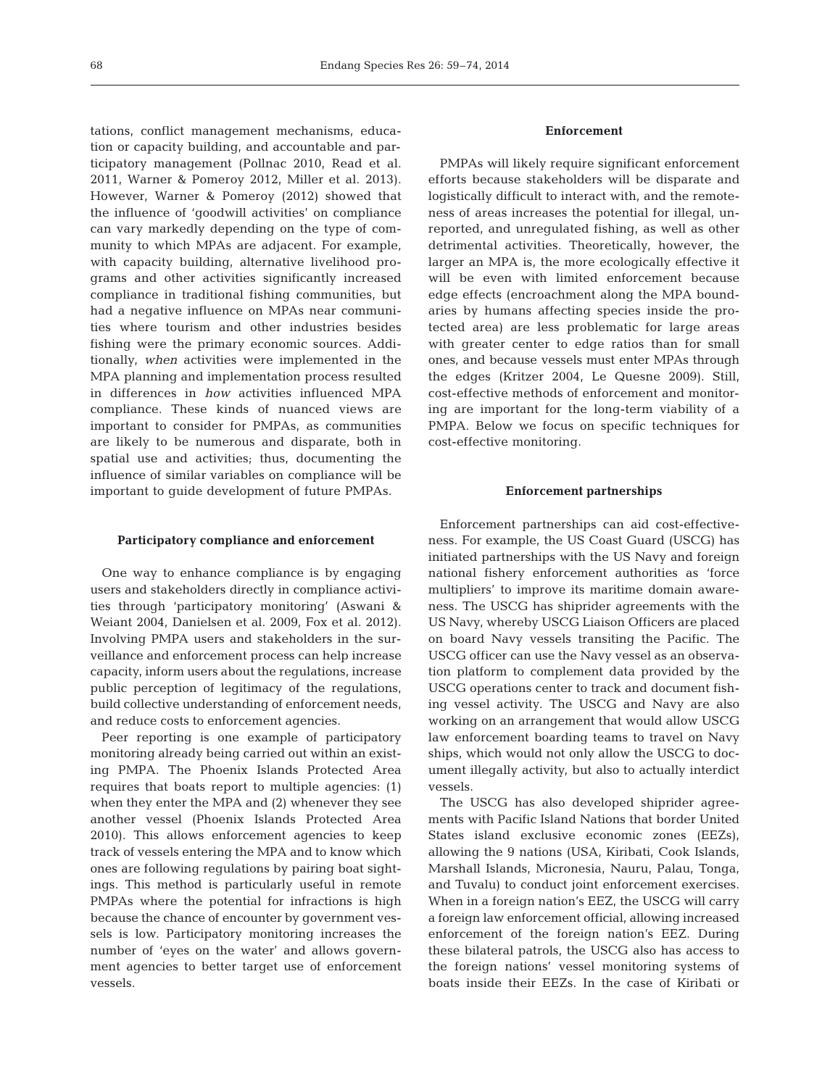tations, conflict management mechanisms, education or capacity building, and accountable and participatory management (Pollnac 2010, Read et al. 2011, Warner & Pomeroy 2012, Miller et al. 2013). However, Warner & Pomeroy (2012) showed that the influence of 'goodwill activities' on compliance can vary markedly depending on the type of community to which MPAs are adjacent. For example, with capacity building, alternative livelihood programs and other activities significantly increased compliance in traditional fishing communities, but had a negative influence on MPAs near communities where tourism and other industries besides fishing were the primary economic sources. Additionally, *when* activities were implemented in the MPA planning and implementation process resulted in differences in *how* activities influenced MPA compliance. These kinds of nuanced views are important to consider for PMPAs, as communities are likely to be numerous and disparate, both in spatial use and activities; thus, documenting the influence of similar variables on compliance will be important to guide development of future PMPAs.

### **Participatory compliance and enforcement**

One way to enhance compliance is by engaging users and stakeholders directly in compliance activities through 'participatory monitoring' (Aswani & Weiant 2004, Danielsen et al. 2009, Fox et al. 2012). Involving PMPA users and stakeholders in the surveillance and enforcement process can help increase capacity, inform users about the regulations, increase public perception of legitimacy of the regulations, build collective understanding of enforcement needs, and reduce costs to enforcement agencies.

Peer reporting is one example of participatory monitoring already being carried out within an existing PMPA. The Phoenix Islands Protected Area requires that boats report to multiple agencies: (1) when they enter the MPA and (2) whenever they see another vessel (Phoenix Islands Protected Area 2010). This allows enforcement agencies to keep track of vessels entering the MPA and to know which ones are following regulations by pairing boat sightings. This method is particularly useful in remote PMPAs where the potential for infractions is high because the chance of encounter by government vessels is low. Participatory monitoring increases the number of 'eyes on the water' and allows government agencies to better target use of enforcement vessels.

# **Enforcement**

PMPAs will likely require significant enforcement efforts because stakeholders will be disparate and logistically difficult to interact with, and the remoteness of areas increases the potential for illegal, unreported, and unregulated fishing, as well as other detrimental activities. Theoretically, however, the larger an MPA is, the more ecologically effective it will be even with limited enforcement because edge effects (encroachment along the MPA boundaries by humans affecting species inside the protected area) are less problematic for large areas with greater center to edge ratios than for small ones, and because vessels must enter MPAs through the edges (Kritzer 2004, Le Quesne 2009). Still, cost-effective methods of enforcement and monitoring are important for the long-term viability of a PMPA. Below we focus on specific techniques for cost-effective monitoring.

## **Enforcement partnerships**

Enforcement partnerships can aid cost-effectiveness. For example, the US Coast Guard (USCG) has initiated partnerships with the US Navy and foreign national fishery enforcement authorities as 'force multipliers' to improve its maritime domain awareness. The USCG has shiprider agreements with the US Navy, whereby USCG Liaison Officers are placed on board Navy vessels transiting the Pacific. The USCG officer can use the Navy vessel as an observation platform to complement data provided by the USCG operations center to track and document fishing vessel activity. The USCG and Navy are also working on an arrangement that would allow USCG law enforcement boarding teams to travel on Navy ships, which would not only allow the USCG to document illegally activity, but also to actually interdict vessels.

The USCG has also developed shiprider agreements with Pacific Island Nations that border United States island exclusive economic zones (EEZs), allowing the 9 nations (USA, Kiribati, Cook Islands, Marshall Islands, Micronesia, Nauru, Palau, Tonga, and Tuvalu) to conduct joint enforcement exercises. When in a foreign nation's EEZ, the USCG will carry a foreign law enforcement official, allowing increased enforcement of the foreign nation's EEZ. During these bilateral patrols, the USCG also has access to the foreign nations' vessel monitoring systems of boats inside their EEZs. In the case of Kiribati or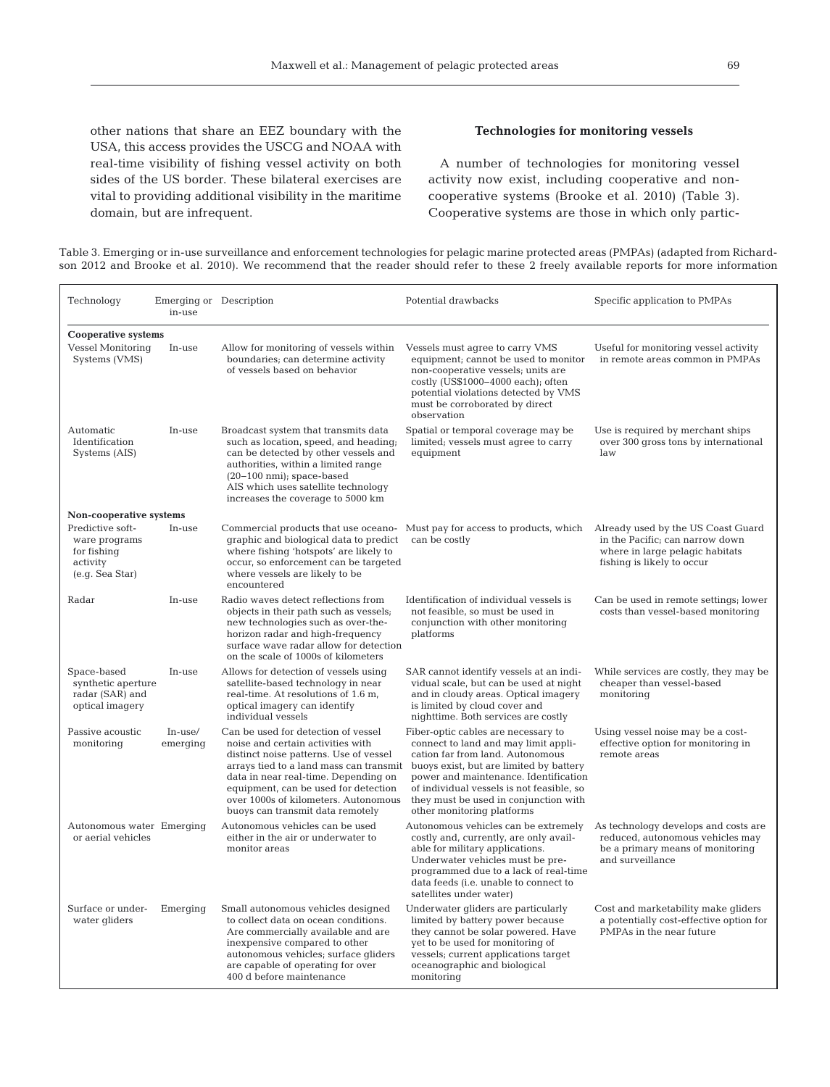other nations that share an EEZ boundary with the USA, this access provides the USCG and NOAA with real-time visibility of fishing vessel activity on both sides of the US border. These bilateral exercises are vital to providing additional visibility in the maritime domain, but are infrequent.

# **Technologies for monitoring vessels**

A number of technologies for monitoring vessel activity now exist, including cooperative and noncooperative systems (Brooke et al. 2010) (Table 3). Cooperative systems are those in which only partic-

| Table 3. Emerging or in-use surveillance and enforcement technologies for pelagic marine protected areas (PMPAs) (adapted from Richard- |  |
|-----------------------------------------------------------------------------------------------------------------------------------------|--|
| son 2012 and Brooke et al. 2010). We recommend that the reader should refer to these 2 freely available reports for more information    |  |

| Technology                                                                      | Emerging or Description<br>in-use |                                                                                                                                                                                                                                                                                                                           | Potential drawbacks                                                                                                                                                                                                                                                                                                     | Specific application to PMPAs                                                                                                          |  |  |  |  |
|---------------------------------------------------------------------------------|-----------------------------------|---------------------------------------------------------------------------------------------------------------------------------------------------------------------------------------------------------------------------------------------------------------------------------------------------------------------------|-------------------------------------------------------------------------------------------------------------------------------------------------------------------------------------------------------------------------------------------------------------------------------------------------------------------------|----------------------------------------------------------------------------------------------------------------------------------------|--|--|--|--|
| <b>Cooperative systems</b>                                                      |                                   |                                                                                                                                                                                                                                                                                                                           |                                                                                                                                                                                                                                                                                                                         |                                                                                                                                        |  |  |  |  |
| <b>Vessel Monitoring</b><br>Systems (VMS)                                       | In-use                            | Allow for monitoring of vessels within<br>boundaries; can determine activity<br>of vessels based on behavior                                                                                                                                                                                                              | Vessels must agree to carry VMS<br>equipment; cannot be used to monitor<br>non-cooperative vessels; units are<br>costly (US\$1000-4000 each); often<br>potential violations detected by VMS<br>must be corroborated by direct<br>observation                                                                            | Useful for monitoring vessel activity<br>in remote areas common in PMPAs                                                               |  |  |  |  |
| Automatic<br>Identification<br>Systems (AIS)                                    | In-use                            | Broadcast system that transmits data<br>such as location, speed, and heading;<br>can be detected by other vessels and<br>authorities, within a limited range<br>$(20-100 \text{ nm})$ ; space-based<br>AIS which uses satellite technology<br>increases the coverage to 5000 km                                           | Spatial or temporal coverage may be<br>limited; vessels must agree to carry<br>equipment                                                                                                                                                                                                                                | Use is required by merchant ships<br>over 300 gross tons by international<br>law                                                       |  |  |  |  |
| Non-cooperative systems                                                         |                                   |                                                                                                                                                                                                                                                                                                                           |                                                                                                                                                                                                                                                                                                                         |                                                                                                                                        |  |  |  |  |
| Predictive soft-<br>ware programs<br>for fishing<br>activity<br>(e.g. Sea Star) | In-use                            | graphic and biological data to predict<br>where fishing 'hotspots' are likely to<br>occur, so enforcement can be targeted<br>where vessels are likely to be<br>encountered                                                                                                                                                | Commercial products that use oceano- Must pay for access to products, which<br>can be costly                                                                                                                                                                                                                            | Already used by the US Coast Guard<br>in the Pacific; can narrow down<br>where in large pelagic habitats<br>fishing is likely to occur |  |  |  |  |
| Radar                                                                           | In-use                            | Radio waves detect reflections from<br>objects in their path such as vessels;<br>new technologies such as over-the-<br>horizon radar and high-frequency<br>surface wave radar allow for detection<br>on the scale of 1000s of kilometers                                                                                  | Identification of individual vessels is<br>not feasible, so must be used in<br>conjunction with other monitoring<br>platforms                                                                                                                                                                                           | Can be used in remote settings; lower<br>costs than vessel-based monitoring                                                            |  |  |  |  |
| Space-based<br>synthetic aperture<br>radar (SAR) and<br>optical imagery         | In-use                            | Allows for detection of vessels using<br>satellite-based technology in near<br>real-time. At resolutions of 1.6 m,<br>optical imagery can identify<br>individual vessels                                                                                                                                                  | SAR cannot identify vessels at an indi-<br>vidual scale, but can be used at night<br>and in cloudy areas. Optical imagery<br>is limited by cloud cover and<br>nighttime. Both services are costly                                                                                                                       | While services are costly, they may be<br>cheaper than vessel-based<br>monitoring                                                      |  |  |  |  |
| Passive acoustic<br>monitoring                                                  | In-use/<br>emerging               | Can be used for detection of vessel<br>noise and certain activities with<br>distinct noise patterns. Use of vessel<br>arrays tied to a land mass can transmit<br>data in near real-time. Depending on<br>equipment, can be used for detection<br>over 1000s of kilometers. Autonomous<br>buoys can transmit data remotely | Fiber-optic cables are necessary to<br>connect to land and may limit appli-<br>cation far from land. Autonomous<br>buoys exist, but are limited by battery<br>power and maintenance. Identification<br>of individual vessels is not feasible, so<br>they must be used in conjunction with<br>other monitoring platforms | Using vessel noise may be a cost-<br>effective option for monitoring in<br>remote areas                                                |  |  |  |  |
| Autonomous water Emerging<br>or aerial vehicles                                 |                                   | Autonomous vehicles can be used<br>either in the air or underwater to<br>monitor areas                                                                                                                                                                                                                                    | Autonomous vehicles can be extremely<br>costly and, currently, are only avail-<br>able for military applications.<br>Underwater vehicles must be pre-<br>programmed due to a lack of real-time<br>data feeds (i.e. unable to connect to<br>satellites under water)                                                      | As technology develops and costs are<br>reduced, autonomous vehicles may<br>be a primary means of monitoring<br>and surveillance       |  |  |  |  |
| Surface or under-<br>water gliders                                              | Emerging                          | Small autonomous vehicles designed<br>to collect data on ocean conditions.<br>Are commercially available and are<br>inexpensive compared to other<br>autonomous vehicles; surface gliders<br>are capable of operating for over<br>400 d before maintenance                                                                | Underwater gliders are particularly<br>limited by battery power because<br>they cannot be solar powered. Have<br>yet to be used for monitoring of<br>vessels; current applications target<br>oceanographic and biological<br>monitoring                                                                                 | Cost and marketability make gliders<br>a potentially cost-effective option for<br>PMPAs in the near future                             |  |  |  |  |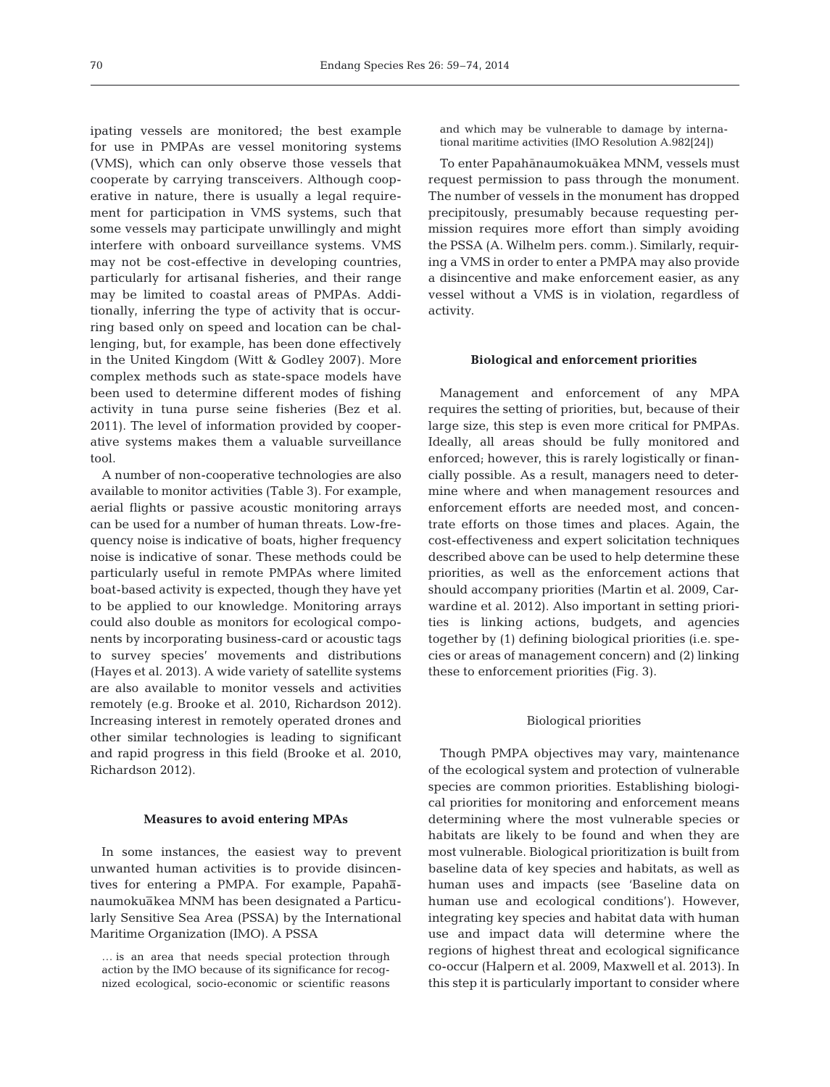ipating vessels are monitored; the best example for use in PMPAs are vessel monitoring systems (VMS), which can only observe those vessels that cooperate by carrying transceivers. Although cooperative in nature, there is usually a legal requirement for participation in VMS systems, such that some vessels may participate unwillingly and might interfere with onboard surveillance systems. VMS may not be cost-effective in developing countries, particularly for artisanal fisheries, and their range may be limited to coastal areas of PMPAs. Additionally, inferring the type of activity that is occurring based only on speed and location can be challenging, but, for example, has been done effectively in the United Kingdom (Witt & Godley 2007). More complex methods such as state-space models have been used to determine different modes of fishing activity in tuna purse seine fisheries (Bez et al. 2011). The level of information provided by cooperative systems makes them a valuable surveillance tool.

A number of non-cooperative technologies are also available to monitor activities (Table 3). For example, aerial flights or passive acoustic monitoring arrays can be used for a number of human threats. Low-frequency noise is indicative of boats, higher frequency noise is indicative of sonar. These methods could be particularly useful in remote PMPAs where limited boat-based activity is expected, though they have yet to be applied to our knowledge. Monitoring arrays could also double as monitors for ecological components by incorporating business-card or acoustic tags to survey species' movements and distributions (Hayes et al. 2013). A wide variety of satellite systems are also available to monitor vessels and activities remotely (e.g. Brooke et al. 2010, Richardson 2012). Increasing interest in remotely operated drones and other similar technologies is leading to significant and rapid progress in this field (Brooke et al. 2010, Richardson 2012).

### **Measures to avoid entering MPAs**

In some instances, the easiest way to prevent unwanted human activities is to provide disincentives for entering a PMPA. For example, Papahanaumokuakea MNM has been designated a Particularly Sensitive Sea Area (PSSA) by the International Maritime Organization (IMO). A PSSA

and which may be vulnerable to damage by international maritime activities (IMO Resolution A.982[24])

To enter Papahānaumokuākea MNM, vessels must request permission to pass through the monument. The number of vessels in the monument has dropped precipitously, presumably because requesting permission requires more effort than simply avoiding the PSSA (A. Wilhelm pers. comm.). Similarly, requiring a VMS in order to enter a PMPA may also provide a disincentive and make enforcement easier, as any vessel without a VMS is in violation, regardless of activity.

### **Biological and enforcement priorities**

Management and enforcement of any MPA requires the setting of priorities, but, because of their large size, this step is even more critical for PMPAs. Ideally, all areas should be fully monitored and enforced; however, this is rarely logistically or financially possible. As a result, managers need to determine where and when management resources and enforcement efforts are needed most, and concentrate efforts on those times and places. Again, the cost-effectiveness and expert solicitation techniques described above can be used to help determine these priorities, as well as the enforcement actions that should accompany priorities (Martin et al. 2009, Carwardine et al. 2012). Also important in setting priorities is linking actions, budgets, and agencies together by (1) defining biological priorities (i.e. species or areas of management concern) and (2) linking these to enforcement priorities (Fig. 3).

### Biological priorities

Though PMPA objectives may vary, maintenance of the ecological system and protection of vulnerable species are common priorities. Establishing biological priorities for monitoring and enforcement means determining where the most vulnerable species or habitats are likely to be found and when they are most vulnerable. Biological prioritization is built from baseline data of key species and habitats, as well as human uses and impacts (see 'Baseline data on human use and ecological conditions'). However, integrating key species and habitat data with human use and impact data will determine where the regions of highest threat and ecological significance co-occur (Halpern et al. 2009, Maxwell et al. 2013). In this step it is particularly important to consider where

<sup>…</sup> is an area that needs special protection through action by the IMO because of its significance for recognized ecological, socio-economic or scientific reasons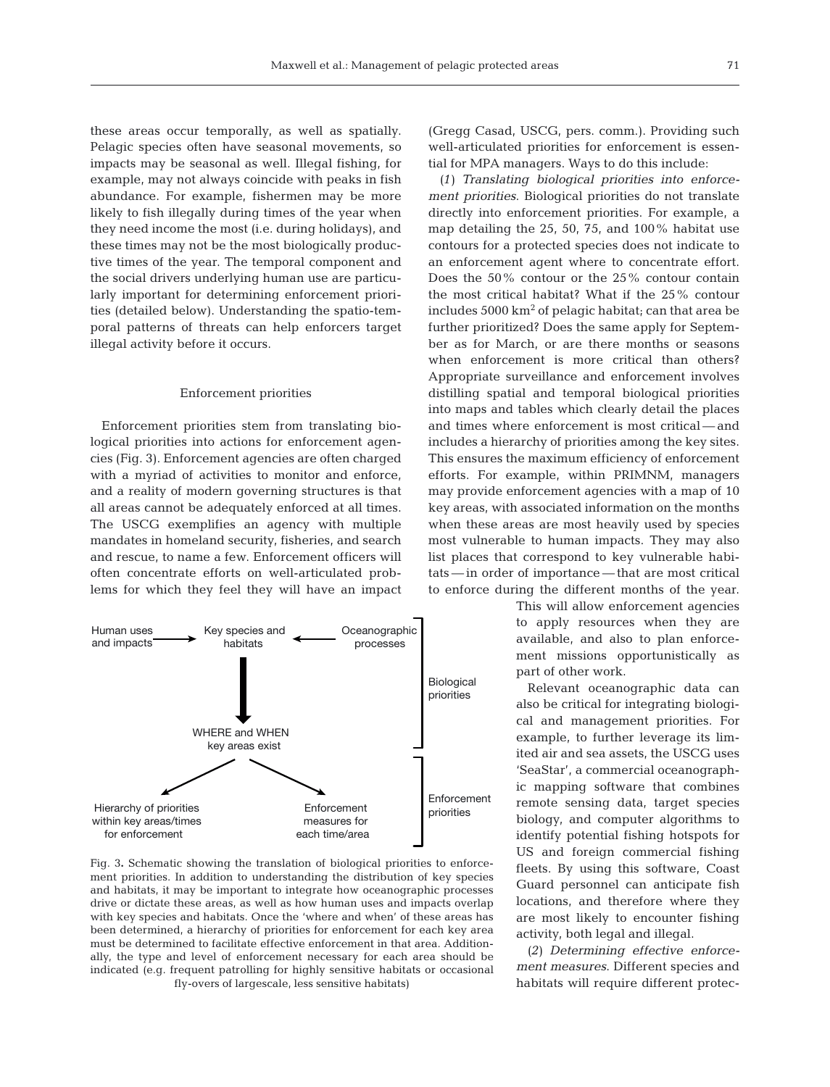these areas occur temporally, as well as spatially. Pelagic species often have seasonal movements, so impacts may be seasonal as well. Illegal fishing, for example, may not always coincide with peaks in fish abundance. For example, fishermen may be more likely to fish illegally during times of the year when they need income the most (i.e. during holidays), and these times may not be the most biologically productive times of the year. The temporal component and the social drivers underlying human use are particularly important for determining enforcement priorities (detailed below). Understanding the spatio-temporal patterns of threats can help enforcers target illegal activity before it occurs.

### Enforcement priorities

Enforcement priorities stem from translating biological priorities into actions for enforcement agencies (Fig. 3). Enforcement agencies are often charged with a myriad of activities to monitor and enforce, and a reality of modern governing structures is that all areas cannot be adequately enforced at all times. The USCG exemplifies an agency with multiple mandates in homeland security, fisheries, and search and rescue, to name a few. Enforcement officers will often concentrate efforts on well-articulated problems for which they feel they will have an impact



Fig. 3**.** Schematic showing the translation of biological priorities to enforcement priorities. In addition to understanding the distribution of key species and habitats, it may be important to integrate how oceanographic processes drive or dictate these areas, as well as how human uses and impacts overlap with key species and habitats. Once the 'where and when' of these areas has been determined, a hierarchy of priorities for enforcement for each key area must be determined to facilitate effective enforcement in that area. Additionally, the type and level of enforcement necessary for each area should be indicated (e.g. frequent patrolling for highly sensitive habitats or occasional fly-overs of largescale, less sensitive habitats)

(Gregg Casad, USCG, pers. comm.). Providing such well-articulated priorities for enforcement is essential for MPA managers. Ways to do this include:

*(1) Translating biological priorities into enforcement priorities*. Biological priorities do not translate directly into enforcement priorities. For example, a map detailing the 25, 50, 75, and 100% habitat use contours for a protected species does not indicate to an enforcement agent where to concentrate effort. Does the 50% contour or the 25% contour contain the most critical habitat? What if the 25% contour includes  $5000 \text{ km}^2$  of pelagic habitat; can that area be further prioritized? Does the same apply for September as for March, or are there months or seasons when enforcement is more critical than others? Appropriate surveillance and enforcement involves distilling spatial and temporal biological priorities into maps and tables which clearly detail the places and times where enforcement is most critical — and includes a hierarchy of priorities among the key sites. This ensures the maximum efficiency of enforcement efforts. For example, within PRIMNM, managers may provide enforcement agencies with a map of 10 key areas, with associated information on the months when these areas are most heavily used by species most vulnerable to human impacts. They may also list places that correspond to key vulnerable habitats — in order of importance — that are most critical to enforce during the different months of the year.

> This will allow enforcement agencies to apply resources when they are available, and also to plan enforcement missions opportunistically as part of other work.

> Relevant oceanographic data can also be critical for integrating biological and management priorities. For example, to further leverage its limited air and sea assets, the USCG uses 'SeaStar', a commercial oceanograph ic mapping software that combines remote sensing data, target species biology, and computer algorithms to identify potential fishing hotspots for US and foreign commercial fishing fleets. By using this software, Coast Guard personnel can anticipate fish locations, and therefore where they are most likely to encounter fishing activity, both legal and illegal.

> *(2) Determining effective enforcement measures*. Different species and habitats will require different protec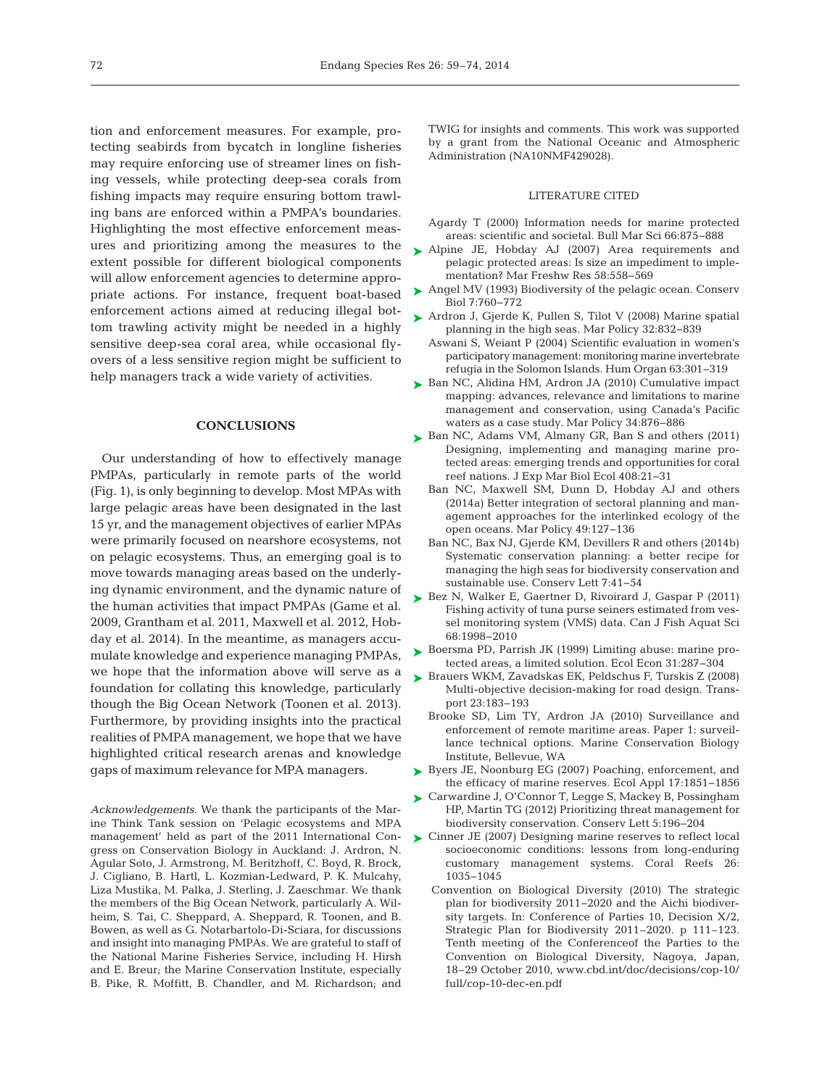tion and enforcement measures. For example, protecting seabirds from bycatch in longline fisheries may require enforcing use of streamer lines on fishing vessels, while protecting deep-sea corals from fishing impacts may require ensuring bottom trawling bans are enforced within a PMPA's boundaries. Highlighting the most effective enforcement measures and prioritizing among the measures to the extent possible for different biological components will allow enforcement agencies to determine appropriate actions. For instance, frequent boat-based enforcement actions aimed at reducing illegal bottom trawling activity might be needed in a highly sensitive deep-sea coral area, while occasional flyovers of a less sensitive region might be sufficient to help managers track a wide variety of activities.

### **CONCLUSIONS**

Our understanding of how to effectively manage PMPAs, particularly in remote parts of the world (Fig. 1), is only beginning to develop. Most MPAs with large pelagic areas have been designated in the last 15 yr, and the management objectives of earlier MPAs were primarily focused on nearshore ecosystems, not on pelagic ecosystems. Thus, an emerging goal is to move towards managing areas based on the underlying dynamic environment, and the dynamic nature of the human activities that impact PMPAs (Game et al. 2009, Grantham et al. 2011, Maxwell et al. 2012, Hobday et al. 2014). In the meantime, as managers accumulate knowledge and experience managing PMPAs, we hope that the information above will serve as a foundation for collating this knowledge, particularly though the Big Ocean Network (Toonen et al. 2013). Furthermore, by providing insights into the practical realities of PMPA management, we hope that we have highlighted critical research arenas and knowledge gaps of maximum relevance for MPA managers.

*Acknowledgements.* We thank the participants of the Marine Think Tank session on 'Pelagic ecosystems and MPA management' held as part of the 2011 International Congress on Conservation Biology in Auckland: J. Ardron, N. Agular Soto, J. Armstrong, M. Beritzhoff, C. Boyd, R. Brock, J. Cigliano, B. Hartl, L. Kozmian-Ledward, P. K. Mulcahy, Liza Mustika, M. Palka, J. Sterling, J. Zaeschmar. We thank the members of the Big Ocean Network, particularly A. Wilheim, S. Tai, C. Sheppard, A. Sheppard, R. Toonen, and B. Bowen, as well as G. Notarbartolo-Di-Sciara, for discussions and insight into managing PMPAs. We are grateful to staff of the National Marine Fisheries Service, including H. Hirsh and E. Breur; the Marine Conservation Institute, especially B. Pike, R. Moffitt, B. Chandler, and M. Richardson; and

TWIG for insights and comments. This work was supported by a grant from the National Oceanic and Atmospheric Administration (NA10NMF429028).

### LITERATURE CITED

- Agardy T (2000) Information needs for marine protected areas: scientific and societal. Bull Mar Sci 66:875−888
- ▶ [Alpine JE, Hobday AJ \(2007\) Area requirements and](http://dx.doi.org/10.1071/MF06214) pelagic protected areas: Is size an impediment to implementation? Mar Freshw Res 58:558-569
- ► [Angel MV \(1993\) Biodiversity of the pelagic ocean. Conserv](http://dx.doi.org/10.1046/j.1523-1739.1993.740760.x) Biol 7:760-772
- ▶ [Ardron J, Gjerde K, Pullen S, Tilot V \(2008\) Marine spatial](http://dx.doi.org/10.1016/j.marpol.2008.03.018) planning in the high seas. Mar Policy 32:832-839
	- Aswani S, Weiant P (2004) Scientific evaluation in women's participatory management: monitoring marine invertebrate refugia in the Solomon Islands. Hum Organ 63:301-319
- ► [Ban NC, Alidina HM, Ardron JA \(2010\) Cumulative impact](http://dx.doi.org/10.1016/j.marpol.2010.01.010) mapping: advances, relevance and limitations to marine management and conservation, using Canada's Pacific waters as a case study. Mar Policy 34:876-886
- ► [Ban NC, Adams VM, Almany GR, Ban S and others \(2011\)](http://dx.doi.org/10.1016/j.jembe.2011.07.023) Designing, implementing and managing marine protected areas: emerging trends and opportunities for coral reef nations. J Exp Mar Biol Ecol 408:21-31
	- Ban NC, Maxwell SM, Dunn D, Hobday AJ and others (2014a) Better integration of sectoral planning and management approaches for the interlinked ecology of the open oceans. Mar Policy 49: 127−136
	- Ban NC, Bax NJ, Gjerde KM, Devillers R and others (2014b) Systematic conservation planning: a better recipe for managing the high seas for biodiversity conservation and sustainable use. Conserv Lett 7:41-54
- ► [Bez N, Walker E, Gaertner D, Rivoirard J, Gaspar P \(2011\)](http://dx.doi.org/10.1139/f2011-114) Fishing activity of tuna purse seiners estimated from vessel monitoring system (VMS) data. Can J Fish Aquat Sci 68: 1998−2010
- ► Boersma PD, Parrish JK (1999) Limiting abuse: marine protected areas, a limited solution. Ecol Econ 31: 287−304
- ► [Brauers WKM, Zavadskas EK, Peldschus F, Turskis Z \(2008\)](http://dx.doi.org/10.3846/1648-4142.2008.23.183-193) Multi-objective decision-making for road design. Transport 23: 183−193
	- Brooke SD, Lim TY, Ardron JA (2010) Surveillance and enforcement of remote maritime areas. Paper 1: surveillance technical options. Marine Conservation Biology Institute, Bellevue, WA
- ▶ [Byers JE, Noonburg EG \(2007\) Poaching, enforcement, and](http://dx.doi.org/10.1890/07-0067.1) the efficacy of marine reserves. Ecol Appl 17: 1851−1856
- ► [Carwardine J, O'Connor T, Legge S, Mackey B, Possingham](http://dx.doi.org/10.1111/j.1755-263X.2012.00228.x) HP, Martin TG (2012) Prioritizing threat management for biodiversity conservation. Conserv Lett 5: 196−204
- ► [Cinner JE \(2007\) Designing marine reserves to reflect local](http://dx.doi.org/10.1007/s00338-007-0213-2) socioeconomic conditions: lessons from long-enduring customary management systems. Coral Reefs 26: 1035−1045
	- Convention on Biological Diversity (2010) The strategic plan for biodiversity 2011−2020 and the Aichi biodiversity targets. In: Conference of Parties 10, Decision X/2, Strategic Plan for Biodiversity 2011–2020. p 111–123. Tenth meeting of the Conferenceof the Parties to the Convention on Biological Diversity, Nagoya, Japan, 18–29 October 2010, www. cbd. int/ doc/ decisions/ cop-10/ full/cop-10-dec-en.pdf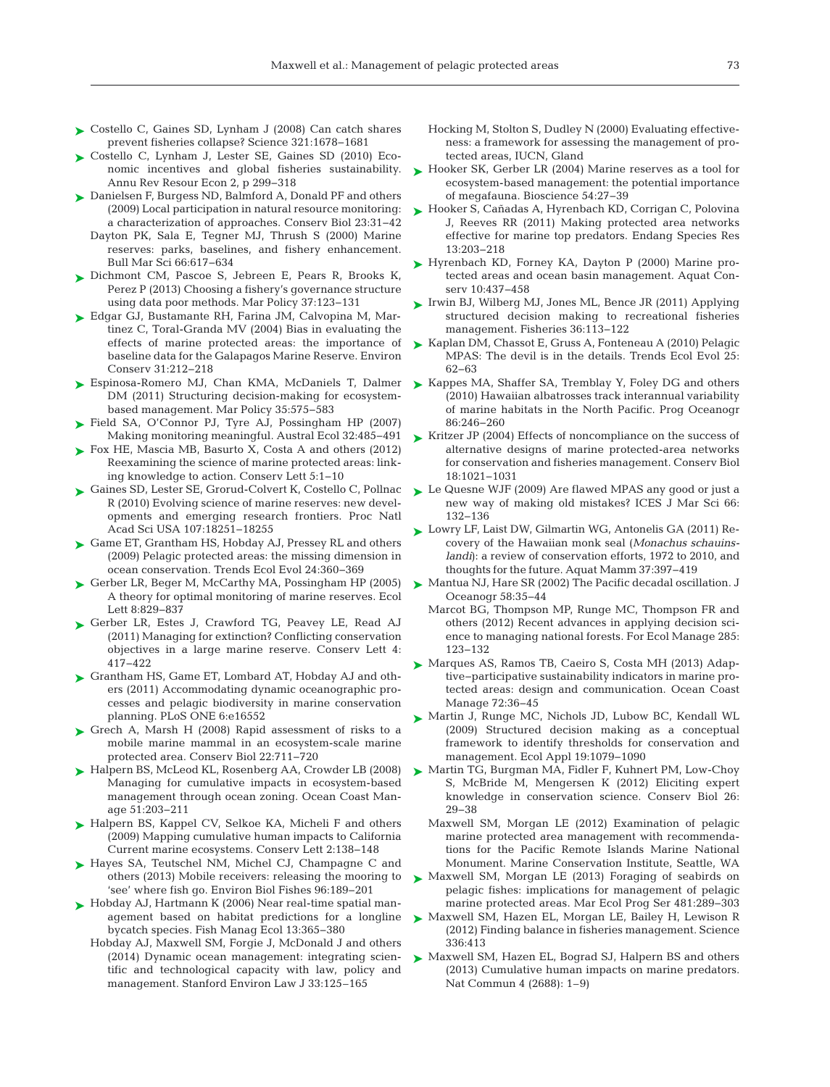- ► [Costello C, Gaines SD, Lynham J \(2008\) Can catch shares](http://dx.doi.org/10.1126/science.1159478) prevent fisheries collapse? Science 321: 1678−1681
- ► [Costello C, Lynham J, Lester SE, Gaines SD \(2010\) Eco](http://dx.doi.org/10.1146/annurev.resource.012809.103923)nomic incentives and global fisheries sustainability. Annu Rev Resour Econ 2, p 299−318
- ► [Danielsen F, Burgess ND, Balmford A, Donald PF and others](http://dx.doi.org/10.1111/j.1523-1739.2008.01063.x) (2009) Local participation in natural resource monitoring: a characterization of approaches. Conserv Biol 23:31-42
	- Dayton PK, Sala E, Tegner MJ, Thrush S (2000) Marine reserves: parks, baselines, and fishery enhancement. Bull Mar Sci 66:617-634
- ► [Dichmont CM, Pascoe S, Jebreen E, Pears R, Brooks K,](http://dx.doi.org/10.1016/j.marpol.2012.02.018) Perez P (2013) Choosing a fishery's governance structure using data poor methods. Mar Policy 37: 123−131
- [Edgar GJ, Bustamante RH, Farina JM, Calvopina M, Mar-](http://dx.doi.org/10.1017/S0376892904001584)➤ tinez C, Toral-Granda MV (2004) Bias in evaluating the effects of marine protected areas: the importance of baseline data for the Galapagos Marine Reserve. Environ Conserv 31:212-218
- ▶ [Espinosa-Romero MJ, Chan KMA, McDaniels T, Dalmer](http://dx.doi.org/10.1016/j.marpol.2011.01.019) DM (2011) Structuring decision-making for ecosystembased management. Mar Policy 35: 575−583
- [Field SA, O'Connor PJ, Tyre AJ, Possingham HP \(2007\)](http://dx.doi.org/10.1111/j.1442-9993.2007.01715.x) ➤ Making monitoring meaningful. Austral Ecol 32:485-491
- ► [Fox HE, Mascia MB, Basurto X, Costa A and others \(2012\)](http://dx.doi.org/10.1111/j.1755-263X.2011.00207.x) Reexamining the science of marine protected areas: linking knowledge to action. Conserv Lett 5: 1−10
- ► [Gaines SD, Lester SE, Grorud-Colvert K, Costello C, Pollnac](http://dx.doi.org/10.1073/pnas.1002098107) R (2010) Evolving science of marine reserves: new developments and emerging research frontiers. Proc Natl Acad Sci USA 107: 18251−18255
- ► [Game ET, Grantham HS, Hobday AJ, Pressey RL and others](http://dx.doi.org/10.1016/j.tree.2009.01.011) (2009) Pelagic protected areas: the missing dimension in ocean conservation. Trends Ecol Evol 24: 360−369
- ► [Gerber LR, Beger M, McCarthy MA, Possingham HP \(2005\)](http://dx.doi.org/10.1111/j.1461-0248.2005.00784.x) A theory for optimal monitoring of marine reserves. Ecol Lett 8: 829−837
- ▶ [Gerber LR, Estes J, Crawford TG, Peavey LE, Read AJ](http://dx.doi.org/10.1111/j.1755-263X.2011.00197.x) (2011) Managing for extinction? Conflicting conservation objectives in a large marine reserve. Conserv Lett 4: 417−422
- ▶ [Grantham HS, Game ET, Lombard AT, Hobday AJ and oth](http://dx.doi.org/10.1371/journal.pone.0016552)ers (2011) Accommodating dynamic oceanographic processes and pelagic biodiversity in marine conservation planning. PLoS ONE 6:e16552
- ▶ [Grech A, Marsh H \(2008\) Rapid assessment of risks to a](http://dx.doi.org/10.1111/j.1523-1739.2008.00923.x) mobile marine mammal in an ecosystem-scale marine protected area. Conserv Biol 22:711-720
- ► [Halpern BS, McLeod KL, Rosenberg AA, Crowder LB \(2008\)](http://dx.doi.org/10.1016/j.ocecoaman.2007.08.002) Managing for cumulative impacts in ecosystem-based management through ocean zoning. Ocean Coast Manage 51:203−211
- ► [Halpern BS, Kappel CV, Selkoe KA, Micheli F and others](http://dx.doi.org/10.1111/j.1755-263X.2009.00058.x) (2009) Mapping cumulative human impacts to California Current marine ecosystems. Conserv Lett 2: 138−148
- ▶ [Hayes SA, Teutschel NM, Michel CJ, Champagne C and](http://dx.doi.org/10.1007/s10641-011-9940-x) others (2013) Mobile receivers: releasing the mooring to 'see' where fish go. Environ Biol Fishes 96: 189−201
- ► [Hobday AJ, Hartmann K \(2006\) Near real-time spatial man](http://dx.doi.org/10.1111/j.1365-2400.2006.00515.x)agement based on habitat predictions for a longline bycatch species. Fish Manag Ecol 13: 365−380
	- Hobday AJ, Maxwell SM, Forgie J, McDonald J and others (2014) Dynamic ocean management: integrating scientific and technological capacity with law, policy and management. Stanford Environ Law J 33: 125–165
- Hocking M, Stolton S, Dudley N (2000) Evaluating effectiveness:a framework for assessing the management of protected areas, IUCN, Gland
- ► [Hooker SK, Gerber LR \(2004\) Marine reserves as a tool for](http://dx.doi.org/10.1641/0006-3568(2004)054[0027%3AMRAATF]2.0.CO%3B2) ecosystem-based management: the potential importance of megafauna. Bioscience 54: 27−39
- [Hooker S, Cañadas A, Hyrenbach KD, Corrigan C, Polovina](http://dx.doi.org/10.3354/esr00322) ➤ J, Reeves RR (2011) Making protected area networks effective for marine top predators. Endang Species Res 13: 203−218
- ► [Hyrenbach KD, Forney KA, Dayton P \(2000\) Marine pro](http://dx.doi.org/10.1002/1099-0755(200011/12)10%3A6%3C437%3A%3AAID-AQC425%3E3.0.CO%3B2-Q)tected areas and ocean basin management. Aquat Conserv 10:437-458
- ► [Irwin BJ, Wilberg MJ, Jones ML, Bence JR \(2011\) Applying](http://dx.doi.org/10.1080/03632415.2011.10389083) structured decision making to recreational fisheries management. Fisheries 36: 113−122
- ► [Kaplan DM, Chassot E, Gruss A, Fonteneau A \(2010\) Pelagic](http://dx.doi.org/10.1016/j.tree.2009.09.003) MPAS: The devil is in the details. Trends Ecol Evol 25: 62−63
- ► [Kappes MA, Shaffer SA, Tremblay Y, Foley DG and others](http://dx.doi.org/10.1016/j.pocean.2010.04.012) (2010) Hawaiian albatrosses track interannual variability of marine habitats in the North Pacific. Prog Oceanogr 86: 246−260
- ► [Kritzer JP \(2004\) Effects of noncompliance on the success of](http://dx.doi.org/10.1111/j.1523-1739.2004.00022.x) alternative designs of marine protected-area networks for conservation and fisheries management. Conserv Biol 18: 1021−1031
- ► [Le Quesne WJF \(2009\) Are flawed MPAS any good or just a](http://dx.doi.org/10.1093/icesjms/fsn201) new way of making old mistakes? ICES J Mar Sci 66: 132−136
- ► [Lowry LF, Laist DW, Gilmartin WG, Antonelis GA \(2011\) Re](http://dx.doi.org/10.1578/AM.37.3.2011.397)covery of the Hawaiian monk seal (*Monachus schauinslandi*): a review of conservation efforts, 1972 to 2010, and thoughts for the future. Aquat Mamm 37: 397−419
- [Mantua NJ, Hare SR \(2002\) The Pacific decadal oscillation. J](http://dx.doi.org/10.1023/A%3A1015820616384) ➤ Oceanogr 58:35-44
	- Marcot BG, Thompson MP, Runge MC, Thompson FR and others (2012) Recent advances in applying decision science to managing national forests. For Ecol Manage 285: 123−132
- ► [Marques AS, Ramos TB, Caeiro S, Costa MH \(2013\) Adap](http://dx.doi.org/10.1016/j.ocecoaman.2011.07.007)tive−participative sustainability indicators in marine protected areas: design and communication. Ocean Coast Manage 72:36-45
- ▶ [Martin J, Runge MC, Nichols JD, Lubow BC, Kendall WL](http://dx.doi.org/10.1890/08-0255.1) (2009) Structured decision making as a conceptual framework to identify thresholds for conservation and management. Ecol Appl 19: 1079−1090
- ► [Martin TG, Burgman MA, Fidler F, Kuhnert PM, Low-Choy](http://dx.doi.org/10.1111/j.1523-1739.2011.01806.x) S, McBride M, Mengersen K (2012) Eliciting expert knowledge in conservation science. Conserv Biol 26: 29−38
	- Maxwell SM, Morgan LE (2012) Examination of pelagic marine protected area management with recommendations for the Pacific Remote Islands Marine National Monument. Marine Conservation Institute, Seattle, WA
- ▶ [Maxwell SM, Morgan LE \(2013\) Foraging of seabirds on](http://dx.doi.org/10.3354/meps10255) pelagic fishes: implications for management of pelagic marine protected areas. Mar Ecol Prog Ser 481:289-303
- ▶ [Maxwell SM, Hazen EL, Morgan LE, Bailey H, Lewison R](http://dx.doi.org/10.1126/science.336.6080.413-a) (2012) Finding balance in fisheries management. Science 336:413
- ► [Maxwell SM, Hazen EL, Bograd SJ, Halpern BS and others](http://www.ncbi.nlm.nih.gov/entrez/query.fcgi?cmd=Retrieve&db=PubMed&list_uids=24162104&dopt=Abstract) (2013) Cumulative human impacts on marine predators. Nat Commun 4 (2688): 1–9)